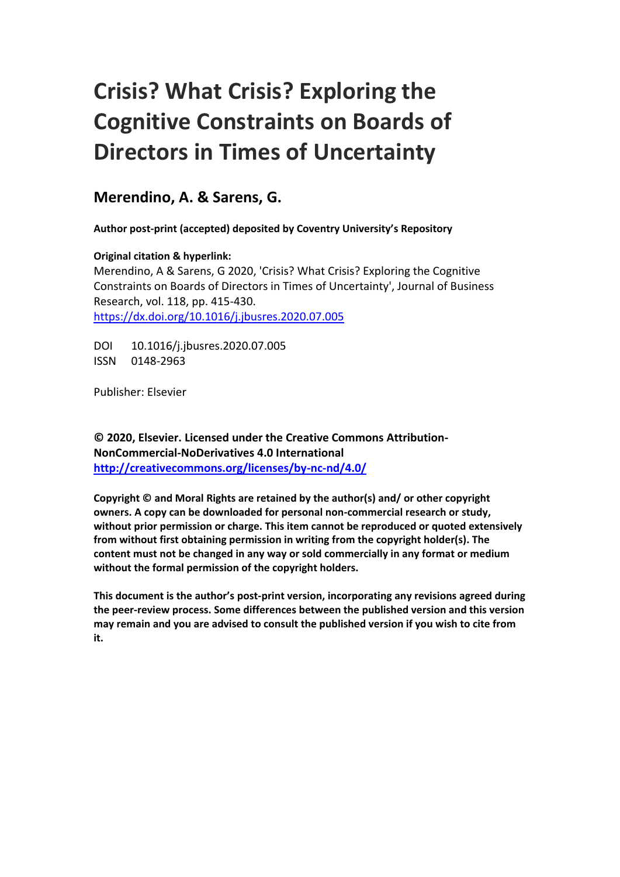# **Crisis? What Crisis? Exploring the Cognitive Constraints on Boards of Directors in Times of Uncertainty**

# **Merendino, A. & Sarens, G.**

**Author post-print (accepted) deposited by Coventry University's Repository**

## **Original citation & hyperlink:**

Merendino, A & Sarens, G 2020, 'Crisis? What Crisis? Exploring the Cognitive Constraints on Boards of Directors in Times of Uncertainty', Journal of Business Research, vol. 118, pp. 415-430. <https://dx.doi.org/10.1016/j.jbusres.2020.07.005>

DOI 10.1016/j.jbusres.2020.07.005 ISSN 0148-2963

Publisher: Elsevier

**© 2020, Elsevier. Licensed under the Creative Commons Attribution-NonCommercial-NoDerivatives 4.0 International <http://creativecommons.org/licenses/by-nc-nd/4.0/>**

**Copyright © and Moral Rights are retained by the author(s) and/ or other copyright owners. A copy can be downloaded for personal non-commercial research or study, without prior permission or charge. This item cannot be reproduced or quoted extensively from without first obtaining permission in writing from the copyright holder(s). The content must not be changed in any way or sold commercially in any format or medium without the formal permission of the copyright holders.** 

**This document is the author's post-print version, incorporating any revisions agreed during the peer-review process. Some differences between the published version and this version may remain and you are advised to consult the published version if you wish to cite from it.**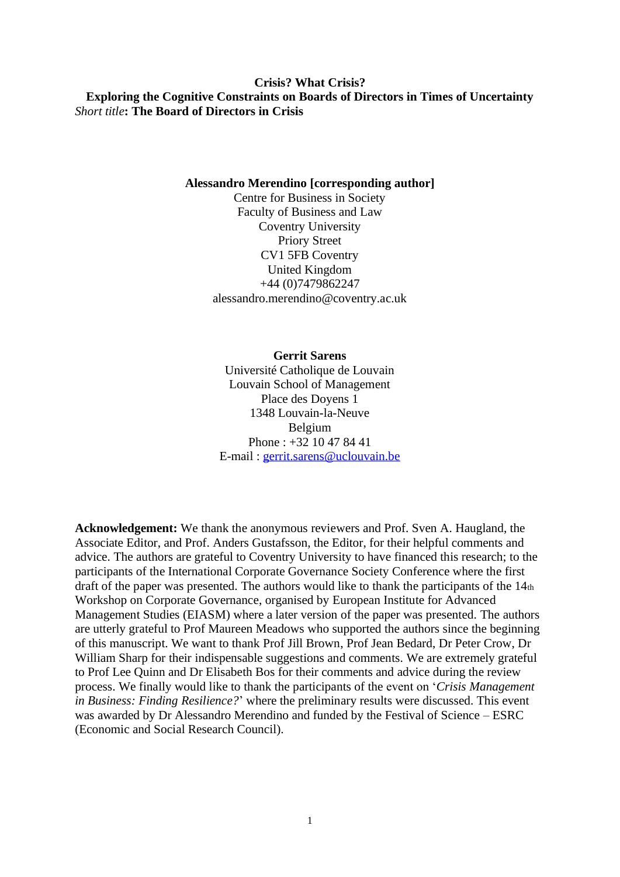## **Crisis? What Crisis? Exploring the Cognitive Constraints on Boards of Directors in Times of Uncertainty** *Short title***: The Board of Directors in Crisis**

## **Alessandro Merendino [corresponding author]**

Centre for Business in Society Faculty of Business and Law Coventry University Priory Street CV1 5FB Coventry United Kingdom +44 (0)7479862247 alessandro.merendino@coventry.ac.uk

## **Gerrit Sarens**

Université Catholique de Louvain Louvain School of Management Place des Doyens 1 1348 Louvain-la-Neuve Belgium Phone : +32 10 47 84 41 E-mail : [gerrit.sarens@uclouvain.be](mailto:gerrit.sarens@uclouvain.be)

**Acknowledgement:** We thank the anonymous reviewers and Prof. Sven A. Haugland, the Associate Editor, and Prof. Anders Gustafsson, the Editor, for their helpful comments and advice. The authors are grateful to Coventry University to have financed this research; to the participants of the International Corporate Governance Society Conference where the first draft of the paper was presented. The authors would like to thank the participants of the 14th Workshop on Corporate Governance, organised by European Institute for Advanced Management Studies (EIASM) where a later version of the paper was presented. The authors are utterly grateful to Prof Maureen Meadows who supported the authors since the beginning of this manuscript. We want to thank Prof Jill Brown, Prof Jean Bedard, Dr Peter Crow, Dr William Sharp for their indispensable suggestions and comments. We are extremely grateful to Prof Lee Quinn and Dr Elisabeth Bos for their comments and advice during the review process. We finally would like to thank the participants of the event on '*Crisis Management in Business: Finding Resilience?*' where the preliminary results were discussed. This event was awarded by Dr Alessandro Merendino and funded by the Festival of Science – ESRC (Economic and Social Research Council).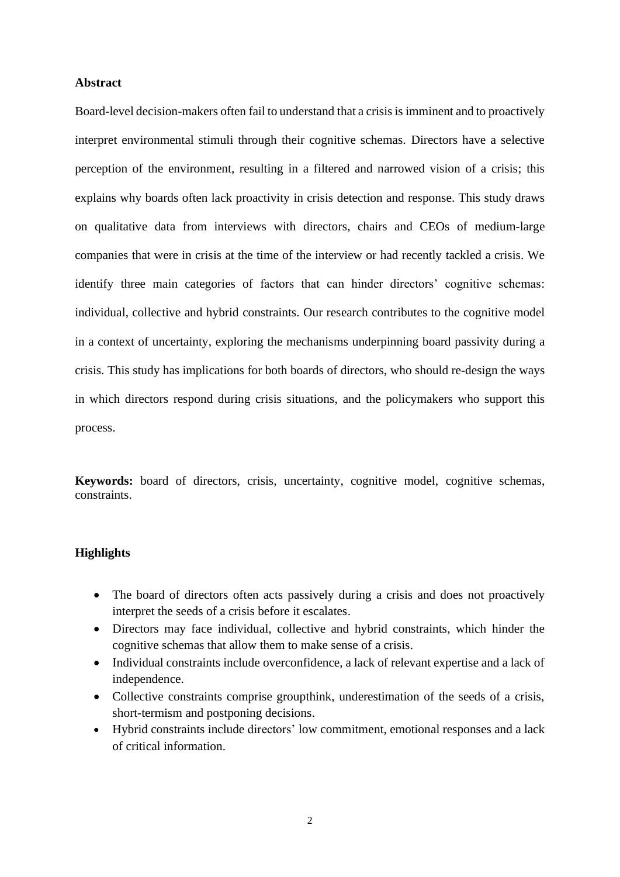## **Abstract**

Board-level decision-makers often fail to understand that a crisis is imminent and to proactively interpret environmental stimuli through their cognitive schemas. Directors have a selective perception of the environment, resulting in a filtered and narrowed vision of a crisis; this explains why boards often lack proactivity in crisis detection and response. This study draws on qualitative data from interviews with directors, chairs and CEOs of medium-large companies that were in crisis at the time of the interview or had recently tackled a crisis. We identify three main categories of factors that can hinder directors' cognitive schemas: individual, collective and hybrid constraints. Our research contributes to the cognitive model in a context of uncertainty, exploring the mechanisms underpinning board passivity during a crisis. This study has implications for both boards of directors, who should re-design the ways in which directors respond during crisis situations, and the policymakers who support this process.

**Keywords:** board of directors, crisis, uncertainty, cognitive model, cognitive schemas, constraints.

## **Highlights**

- The board of directors often acts passively during a crisis and does not proactively interpret the seeds of a crisis before it escalates.
- Directors may face individual, collective and hybrid constraints, which hinder the cognitive schemas that allow them to make sense of a crisis.
- Individual constraints include overconfidence, a lack of relevant expertise and a lack of independence.
- Collective constraints comprise groupthink, underestimation of the seeds of a crisis, short-termism and postponing decisions.
- Hybrid constraints include directors' low commitment, emotional responses and a lack of critical information.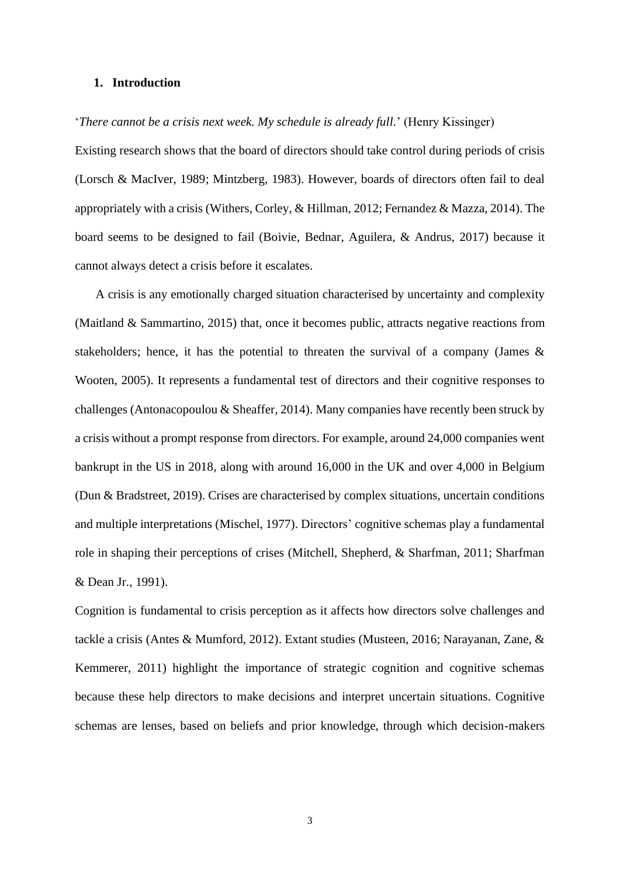## **1. Introduction**

## '*There cannot be a crisis next week. My schedule is already full.*' (Henry Kissinger)

Existing research shows that the board of directors should take control during periods of crisis (Lorsch & MacIver, 1989; Mintzberg, 1983). However, boards of directors often fail to deal appropriately with a crisis (Withers, Corley, & Hillman, 2012; Fernandez & Mazza, 2014). The board seems to be designed to fail (Boivie, Bednar, Aguilera, & Andrus, 2017) because it cannot always detect a crisis before it escalates.

A crisis is any emotionally charged situation characterised by uncertainty and complexity (Maitland & Sammartino, 2015) that, once it becomes public, attracts negative reactions from stakeholders; hence, it has the potential to threaten the survival of a company (James & Wooten, 2005). It represents a fundamental test of directors and their cognitive responses to challenges (Antonacopoulou & Sheaffer, 2014). Many companies have recently been struck by a crisis without a prompt response from directors. For example, around 24,000 companies went bankrupt in the US in 2018, along with around 16,000 in the UK and over 4,000 in Belgium (Dun & Bradstreet, 2019). Crises are characterised by complex situations, uncertain conditions and multiple interpretations (Mischel, 1977). Directors' cognitive schemas play a fundamental role in shaping their perceptions of crises (Mitchell, Shepherd, & Sharfman, 2011; Sharfman & Dean Jr., 1991).

Cognition is fundamental to crisis perception as it affects how directors solve challenges and tackle a crisis (Antes & Mumford, 2012). Extant studies (Musteen, 2016; Narayanan, Zane, & Kemmerer, 2011) highlight the importance of strategic cognition and cognitive schemas because these help directors to make decisions and interpret uncertain situations. Cognitive schemas are lenses, based on beliefs and prior knowledge, through which decision-makers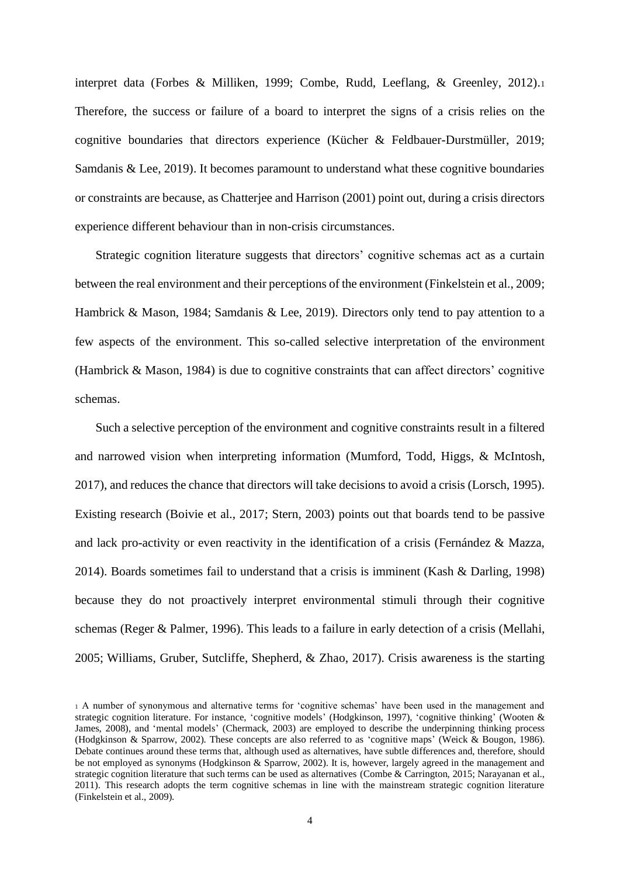interpret data (Forbes & Milliken, 1999; Combe, Rudd, Leeflang, & Greenley, 2012).<sup>1</sup> Therefore, the success or failure of a board to interpret the signs of a crisis relies on the cognitive boundaries that directors experience (Kücher & Feldbauer-Durstmüller, 2019; Samdanis & Lee, 2019). It becomes paramount to understand what these cognitive boundaries or constraints are because, as Chatterjee and Harrison (2001) point out, during a crisis directors experience different behaviour than in non-crisis circumstances.

Strategic cognition literature suggests that directors' cognitive schemas act as a curtain between the real environment and their perceptions of the environment (Finkelstein et al., 2009; Hambrick & Mason, 1984; Samdanis & Lee, 2019). Directors only tend to pay attention to a few aspects of the environment. This so-called selective interpretation of the environment (Hambrick & Mason, 1984) is due to cognitive constraints that can affect directors' cognitive schemas.

Such a selective perception of the environment and cognitive constraints result in a filtered and narrowed vision when interpreting information (Mumford, Todd, Higgs, & McIntosh, 2017), and reduces the chance that directors will take decisions to avoid a crisis (Lorsch, 1995). Existing research (Boivie et al., 2017; Stern, 2003) points out that boards tend to be passive and lack pro-activity or even reactivity in the identification of a crisis (Fernández & Mazza, 2014). Boards sometimes fail to understand that a crisis is imminent (Kash & Darling, 1998) because they do not proactively interpret environmental stimuli through their cognitive schemas (Reger & Palmer, 1996). This leads to a failure in early detection of a crisis (Mellahi, 2005; Williams, Gruber, Sutcliffe, Shepherd, & Zhao, 2017). Crisis awareness is the starting

<sup>1</sup> A number of synonymous and alternative terms for 'cognitive schemas' have been used in the management and strategic cognition literature. For instance, 'cognitive models' (Hodgkinson, 1997), 'cognitive thinking' (Wooten & James, 2008), and 'mental models' (Chermack, 2003) are employed to describe the underpinning thinking process (Hodgkinson & Sparrow, 2002). These concepts are also referred to as 'cognitive maps' (Weick & Bougon, 1986). Debate continues around these terms that, although used as alternatives, have subtle differences and, therefore, should be not employed as synonyms (Hodgkinson & Sparrow, 2002). It is, however, largely agreed in the management and strategic cognition literature that such terms can be used as alternatives (Combe & Carrington, 2015; Narayanan et al., 2011). This research adopts the term cognitive schemas in line with the mainstream strategic cognition literature (Finkelstein et al., 2009).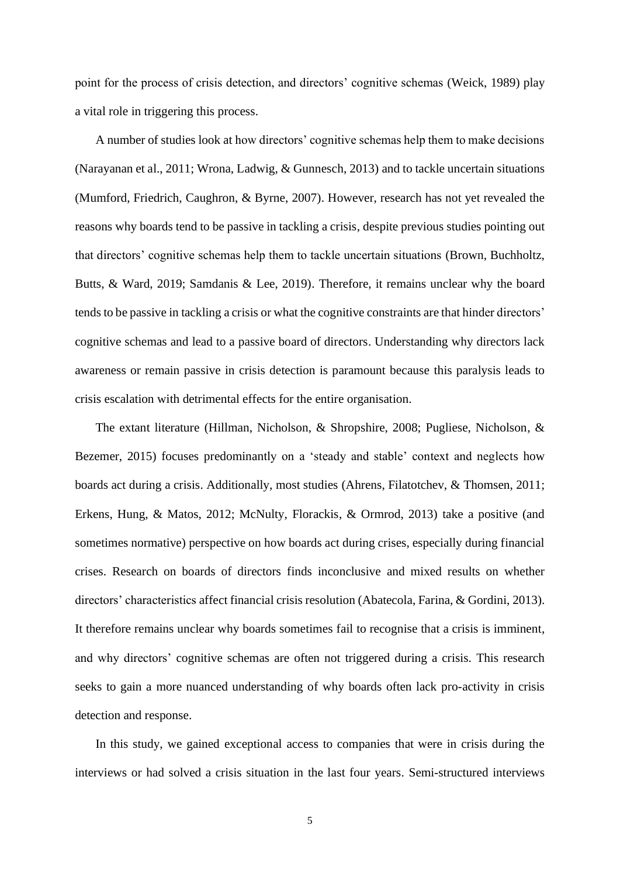point for the process of crisis detection, and directors' cognitive schemas (Weick, 1989) play a vital role in triggering this process.

A number of studies look at how directors' cognitive schemas help them to make decisions (Narayanan et al., 2011; Wrona, Ladwig, & Gunnesch, 2013) and to tackle uncertain situations (Mumford, Friedrich, Caughron, & Byrne, 2007). However, research has not yet revealed the reasons why boards tend to be passive in tackling a crisis, despite previous studies pointing out that directors' cognitive schemas help them to tackle uncertain situations (Brown, Buchholtz, Butts, & Ward, 2019; Samdanis & Lee, 2019). Therefore, it remains unclear why the board tends to be passive in tackling a crisis or what the cognitive constraints are that hinder directors' cognitive schemas and lead to a passive board of directors. Understanding why directors lack awareness or remain passive in crisis detection is paramount because this paralysis leads to crisis escalation with detrimental effects for the entire organisation.

The extant literature (Hillman, Nicholson, & Shropshire, 2008; Pugliese, Nicholson, & Bezemer, 2015) focuses predominantly on a 'steady and stable' context and neglects how boards act during a crisis. Additionally, most studies (Ahrens, Filatotchev, & Thomsen, 2011; Erkens, Hung, & Matos, 2012; McNulty, Florackis, & Ormrod, 2013) take a positive (and sometimes normative) perspective on how boards act during crises, especially during financial crises. Research on boards of directors finds inconclusive and mixed results on whether directors' characteristics affect financial crisis resolution (Abatecola, Farina, & Gordini, 2013). It therefore remains unclear why boards sometimes fail to recognise that a crisis is imminent, and why directors' cognitive schemas are often not triggered during a crisis. This research seeks to gain a more nuanced understanding of why boards often lack pro-activity in crisis detection and response.

In this study, we gained exceptional access to companies that were in crisis during the interviews or had solved a crisis situation in the last four years. Semi-structured interviews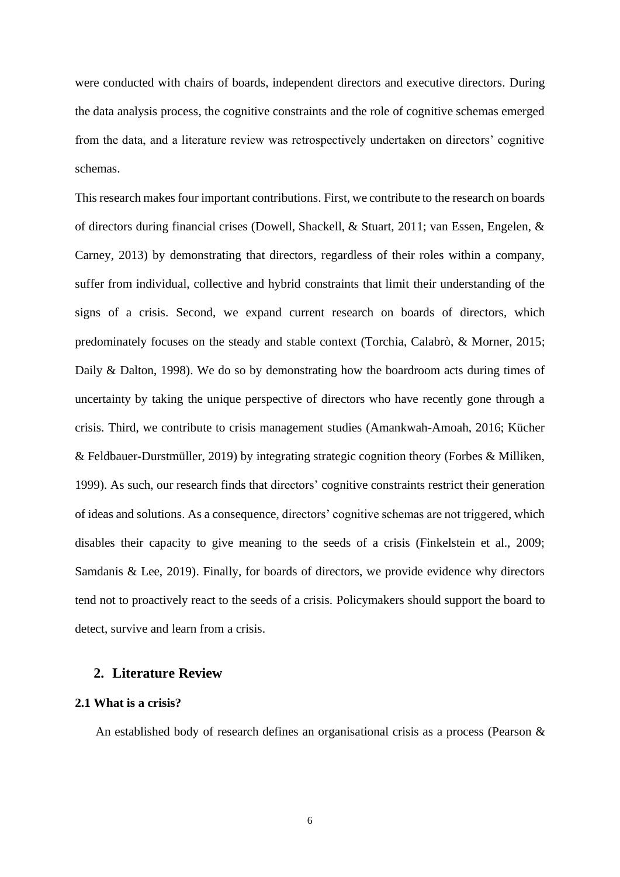were conducted with chairs of boards, independent directors and executive directors. During the data analysis process, the cognitive constraints and the role of cognitive schemas emerged from the data, and a literature review was retrospectively undertaken on directors' cognitive schemas.

This research makes four important contributions. First, we contribute to the research on boards of directors during financial crises (Dowell, Shackell, & Stuart, 2011; van Essen, Engelen, & Carney, 2013) by demonstrating that directors, regardless of their roles within a company, suffer from individual, collective and hybrid constraints that limit their understanding of the signs of a crisis. Second, we expand current research on boards of directors, which predominately focuses on the steady and stable context (Torchia, Calabrò, & Morner, 2015; Daily & Dalton, 1998). We do so by demonstrating how the boardroom acts during times of uncertainty by taking the unique perspective of directors who have recently gone through a crisis. Third, we contribute to crisis management studies (Amankwah-Amoah, 2016; Kücher & Feldbauer-Durstmüller, 2019) by integrating strategic cognition theory (Forbes & Milliken, 1999). As such, our research finds that directors' cognitive constraints restrict their generation of ideas and solutions. As a consequence, directors' cognitive schemas are not triggered, which disables their capacity to give meaning to the seeds of a crisis (Finkelstein et al., 2009; Samdanis & Lee, 2019). Finally, for boards of directors, we provide evidence why directors tend not to proactively react to the seeds of a crisis. Policymakers should support the board to detect, survive and learn from a crisis.

## **2. Literature Review**

## **2.1 What is a crisis?**

An established body of research defines an organisational crisis as a process (Pearson &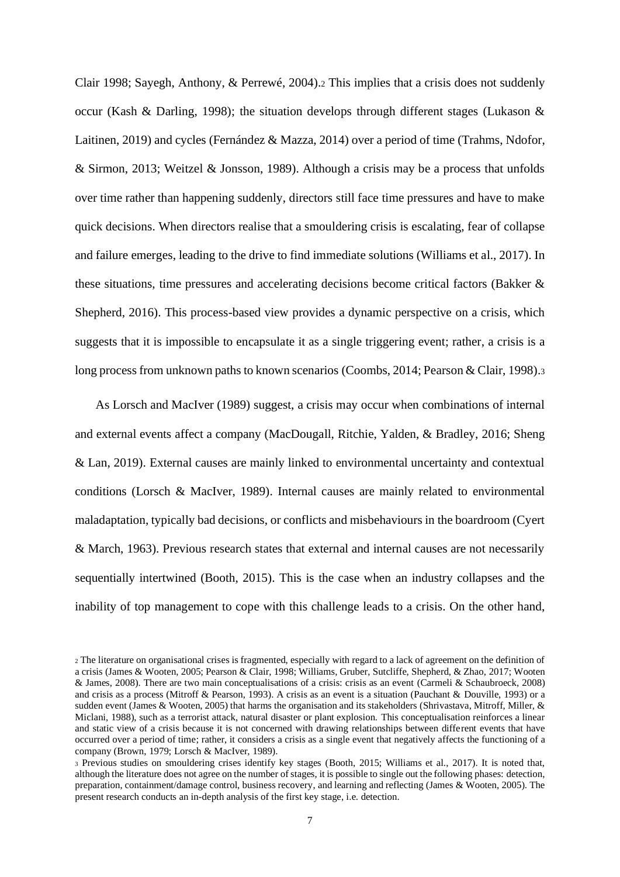Clair 1998; Sayegh, Anthony, & Perrewé, 2004).<sup>2</sup> This implies that a crisis does not suddenly occur (Kash & Darling, 1998); the situation develops through different stages (Lukason  $\&$ Laitinen, 2019) and cycles (Fernández & Mazza, 2014) over a period of time (Trahms, Ndofor, & Sirmon, 2013; Weitzel & Jonsson, 1989). Although a crisis may be a process that unfolds over time rather than happening suddenly, directors still face time pressures and have to make quick decisions. When directors realise that a smouldering crisis is escalating, fear of collapse and failure emerges, leading to the drive to find immediate solutions (Williams et al., 2017). In these situations, time pressures and accelerating decisions become critical factors (Bakker & Shepherd, 2016). This process-based view provides a dynamic perspective on a crisis, which suggests that it is impossible to encapsulate it as a single triggering event; rather, a crisis is a long process from unknown paths to known scenarios (Coombs, 2014; Pearson & Clair, 1998).

As Lorsch and MacIver (1989) suggest, a crisis may occur when combinations of internal and external events affect a company (MacDougall, Ritchie, Yalden, & Bradley, 2016; Sheng & Lan, 2019). External causes are mainly linked to environmental uncertainty and contextual conditions (Lorsch & MacIver, 1989). Internal causes are mainly related to environmental maladaptation, typically bad decisions, or conflicts and misbehaviours in the boardroom (Cyert & March, 1963). Previous research states that external and internal causes are not necessarily sequentially intertwined (Booth, 2015). This is the case when an industry collapses and the inability of top management to cope with this challenge leads to a crisis. On the other hand,

<sup>2</sup> The literature on organisational crises is fragmented, especially with regard to a lack of agreement on the definition of a crisis (James & Wooten, 2005; Pearson & Clair, 1998; Williams, Gruber, Sutcliffe, Shepherd, & Zhao, 2017; Wooten & James, 2008). There are two main conceptualisations of a crisis: crisis as an event (Carmeli & Schaubroeck, 2008) and crisis as a process (Mitroff & Pearson, 1993). A crisis as an event is a situation (Pauchant & Douville, 1993) or a sudden event (James & Wooten, 2005) that harms the organisation and its stakeholders (Shrivastava, Mitroff, Miller, & Miclani, 1988), such as a terrorist attack, natural disaster or plant explosion. This conceptualisation reinforces a linear and static view of a crisis because it is not concerned with drawing relationships between different events that have occurred over a period of time; rather, it considers a crisis as a single event that negatively affects the functioning of a company (Brown, 1979; Lorsch & MacIver, 1989).

<sup>3</sup> Previous studies on smouldering crises identify key stages (Booth, 2015; Williams et al., 2017). It is noted that, although the literature does not agree on the number of stages, it is possible to single out the following phases: detection, preparation, containment/damage control, business recovery, and learning and reflecting (James & Wooten, 2005). The present research conducts an in-depth analysis of the first key stage, i.e. detection.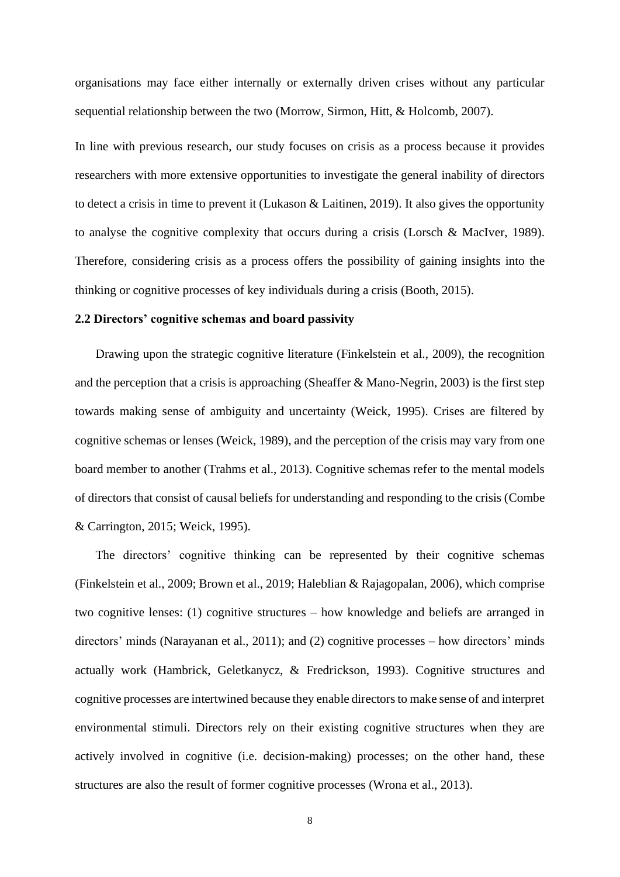organisations may face either internally or externally driven crises without any particular sequential relationship between the two (Morrow, Sirmon, Hitt, & Holcomb, 2007).

In line with previous research, our study focuses on crisis as a process because it provides researchers with more extensive opportunities to investigate the general inability of directors to detect a crisis in time to prevent it (Lukason & Laitinen, 2019). It also gives the opportunity to analyse the cognitive complexity that occurs during a crisis (Lorsch & MacIver, 1989). Therefore, considering crisis as a process offers the possibility of gaining insights into the thinking or cognitive processes of key individuals during a crisis (Booth, 2015).

## **2.2 Directors' cognitive schemas and board passivity**

Drawing upon the strategic cognitive literature (Finkelstein et al., 2009), the recognition and the perception that a crisis is approaching (Sheaffer & Mano-Negrin, 2003) is the first step towards making sense of ambiguity and uncertainty (Weick, 1995). Crises are filtered by cognitive schemas or lenses (Weick, 1989), and the perception of the crisis may vary from one board member to another (Trahms et al., 2013). Cognitive schemas refer to the mental models of directors that consist of causal beliefs for understanding and responding to the crisis (Combe & Carrington, 2015; Weick, 1995).

The directors' cognitive thinking can be represented by their cognitive schemas (Finkelstein et al., 2009; Brown et al., 2019; Haleblian & Rajagopalan, 2006), which comprise two cognitive lenses: (1) cognitive structures – how knowledge and beliefs are arranged in directors' minds (Narayanan et al., 2011); and (2) cognitive processes – how directors' minds actually work (Hambrick, Geletkanycz, & Fredrickson, 1993). Cognitive structures and cognitive processes are intertwined because they enable directors to make sense of and interpret environmental stimuli. Directors rely on their existing cognitive structures when they are actively involved in cognitive (i.e. decision-making) processes; on the other hand, these structures are also the result of former cognitive processes (Wrona et al., 2013).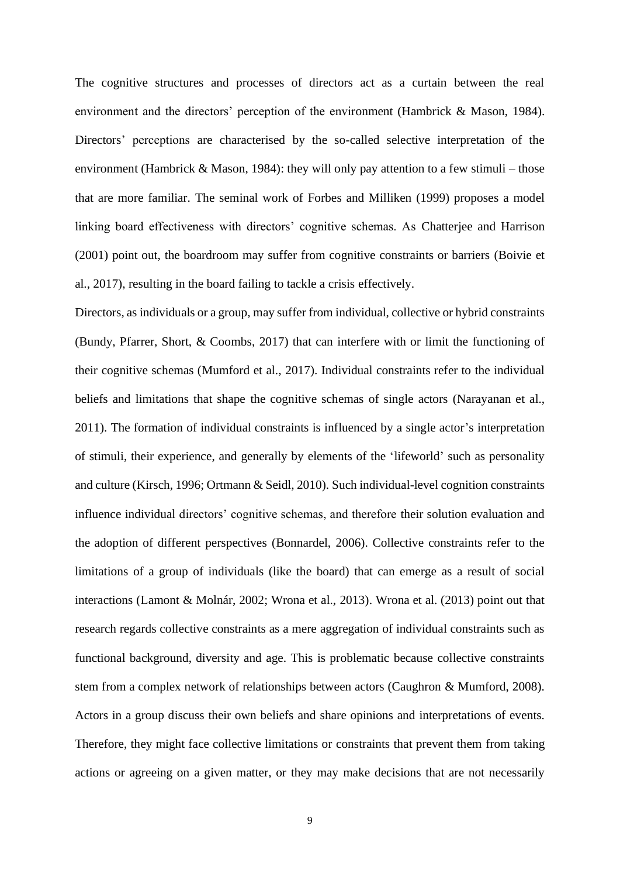The cognitive structures and processes of directors act as a curtain between the real environment and the directors' perception of the environment (Hambrick & Mason, 1984). Directors' perceptions are characterised by the so-called selective interpretation of the environment (Hambrick & Mason, 1984): they will only pay attention to a few stimuli – those that are more familiar. The seminal work of Forbes and Milliken (1999) proposes a model linking board effectiveness with directors' cognitive schemas. As Chatterjee and Harrison (2001) point out, the boardroom may suffer from cognitive constraints or barriers (Boivie et al., 2017), resulting in the board failing to tackle a crisis effectively.

Directors, as individuals or a group, may suffer from individual, collective or hybrid constraints (Bundy, Pfarrer, Short, & Coombs, 2017) that can interfere with or limit the functioning of their cognitive schemas (Mumford et al., 2017). Individual constraints refer to the individual beliefs and limitations that shape the cognitive schemas of single actors (Narayanan et al., 2011). The formation of individual constraints is influenced by a single actor's interpretation of stimuli, their experience, and generally by elements of the 'lifeworld' such as personality and culture (Kirsch, 1996; Ortmann & Seidl, 2010). Such individual-level cognition constraints influence individual directors' cognitive schemas, and therefore their solution evaluation and the adoption of different perspectives (Bonnardel, 2006). Collective constraints refer to the limitations of a group of individuals (like the board) that can emerge as a result of social interactions (Lamont & Molnár, 2002; Wrona et al., 2013). Wrona et al. (2013) point out that research regards collective constraints as a mere aggregation of individual constraints such as functional background, diversity and age. This is problematic because collective constraints stem from a complex network of relationships between actors (Caughron & Mumford, 2008). Actors in a group discuss their own beliefs and share opinions and interpretations of events. Therefore, they might face collective limitations or constraints that prevent them from taking actions or agreeing on a given matter, or they may make decisions that are not necessarily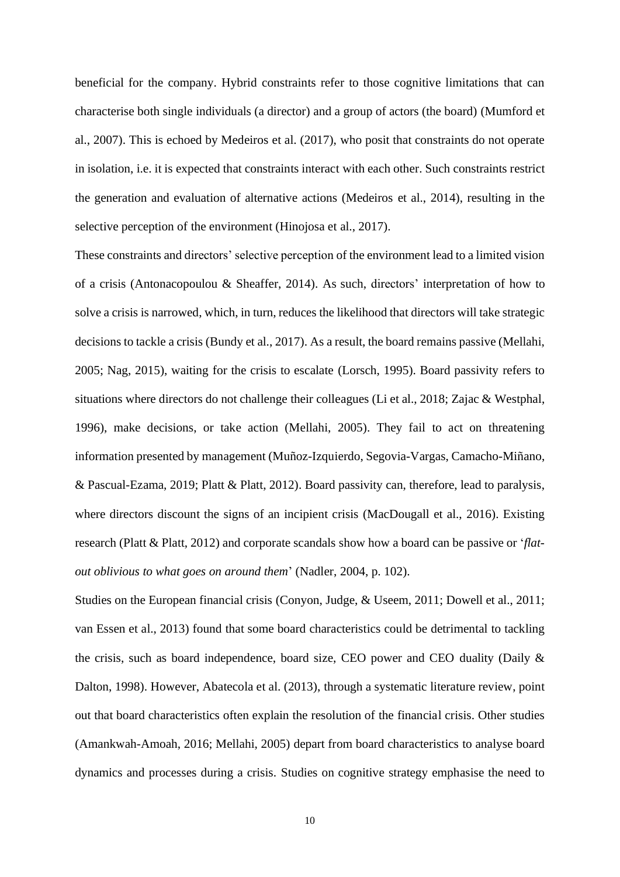beneficial for the company. Hybrid constraints refer to those cognitive limitations that can characterise both single individuals (a director) and a group of actors (the board) (Mumford et al., 2007). This is echoed by Medeiros et al. (2017), who posit that constraints do not operate in isolation, i.e. it is expected that constraints interact with each other. Such constraints restrict the generation and evaluation of alternative actions (Medeiros et al., 2014), resulting in the selective perception of the environment (Hinojosa et al., 2017).

These constraints and directors' selective perception of the environment lead to a limited vision of a crisis (Antonacopoulou & Sheaffer, 2014). As such, directors' interpretation of how to solve a crisis is narrowed, which, in turn, reduces the likelihood that directors will take strategic decisions to tackle a crisis (Bundy et al., 2017). As a result, the board remains passive (Mellahi, 2005; Nag, 2015), waiting for the crisis to escalate [\(Lorsch, 1995\)](https://hbr.org/1995/01/empowering-the-board). Board passivity refers to situations where directors do not challenge their colleagues (Li et al., 2018; Zajac & Westphal, 1996), make decisions, or take action (Mellahi, 2005). They fail to act on threatening information presented by management (Muñoz-Izquierdo, Segovia-Vargas, Camacho-Miñano, & Pascual-Ezama, 2019; Platt & Platt, 2012). Board passivity can, therefore, lead to paralysis, where directors discount the signs of an incipient crisis (MacDougall et al., 2016). Existing research (Platt & Platt, 2012) and corporate scandals show how a board can be passive or '*flatout oblivious to what goes on around them*' (Nadler, 2004, p. 102).

Studies on the European financial crisis (Conyon, Judge, & Useem, 2011; Dowell et al., 2011; van Essen et al., 2013) found that some board characteristics could be detrimental to tackling the crisis, such as board independence, board size, CEO power and CEO duality (Daily & Dalton, 1998). However, Abatecola et al. (2013), through a systematic literature review, point out that board characteristics often explain the resolution of the financial crisis. Other studies (Amankwah-Amoah, 2016; Mellahi, 2005) depart from board characteristics to analyse board dynamics and processes during a crisis. Studies on cognitive strategy emphasise the need to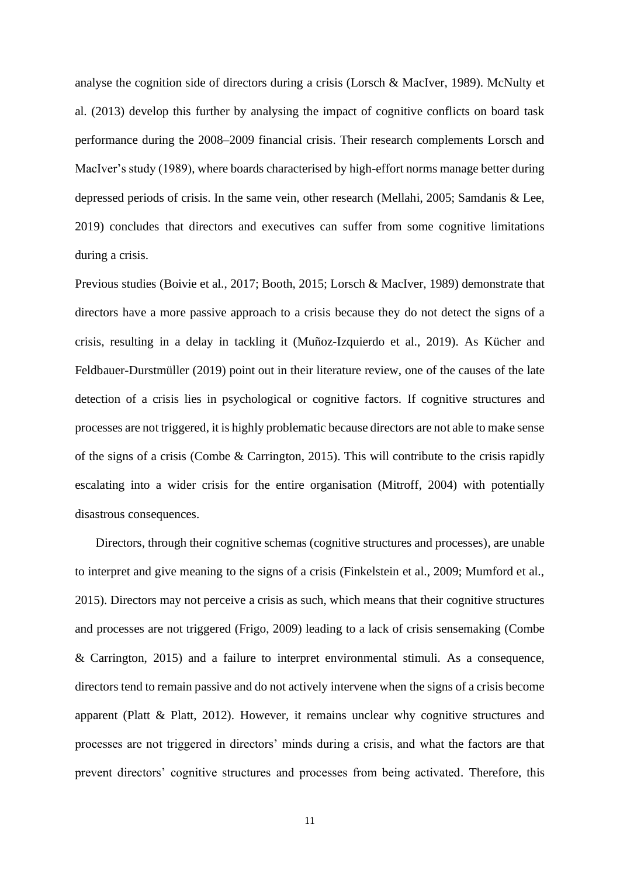analyse the cognition side of directors during a crisis (Lorsch & MacIver, 1989). McNulty et al. (2013) develop this further by analysing the impact of cognitive conflicts on board task performance during the 2008–2009 financial crisis. Their research complements Lorsch and MacIver's study (1989), where boards characterised by high-effort norms manage better during depressed periods of crisis. In the same vein, other research (Mellahi, 2005; Samdanis & Lee, 2019) concludes that directors and executives can suffer from some cognitive limitations during a crisis.

Previous studies (Boivie et al., 2017; Booth, 2015; Lorsch & MacIver, 1989) demonstrate that directors have a more passive approach to a crisis because they do not detect the signs of a crisis, resulting in a delay in tackling it (Muñoz-Izquierdo et al., 2019). As Kücher and Feldbauer-Durstmüller (2019) point out in their literature review, one of the causes of the late detection of a crisis lies in psychological or cognitive factors. If cognitive structures and processes are not triggered, it is highly problematic because directors are not able to make sense of the signs of a crisis (Combe & Carrington, 2015). This will contribute to the crisis rapidly escalating into a wider crisis for the entire organisation (Mitroff, 2004) with potentially disastrous consequences.

Directors, through their cognitive schemas (cognitive structures and processes), are unable to interpret and give meaning to the signs of a crisis (Finkelstein et al., 2009; Mumford et al., 2015). Directors may not perceive a crisis as such, which means that their cognitive structures and processes are not triggered (Frigo, 2009) leading to a lack of crisis sensemaking (Combe & Carrington, 2015) and a failure to interpret environmental stimuli. As a consequence, directors tend to remain passive and do not actively intervene when the signs of a crisis become apparent (Platt & Platt, 2012). However, it remains unclear why cognitive structures and processes are not triggered in directors' minds during a crisis, and what the factors are that prevent directors' cognitive structures and processes from being activated. Therefore, this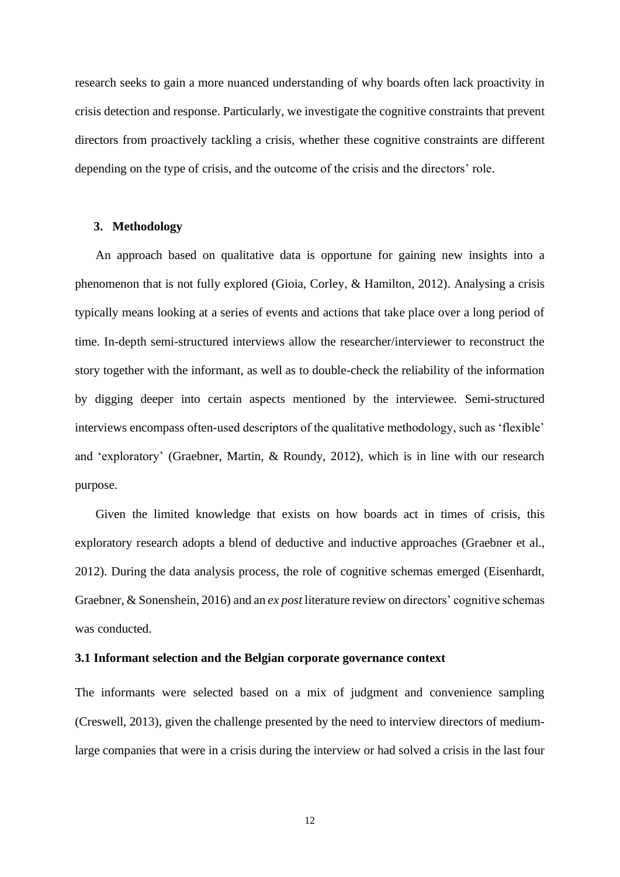research seeks to gain a more nuanced understanding of why boards often lack proactivity in crisis detection and response. Particularly, we investigate the cognitive constraints that prevent directors from proactively tackling a crisis, whether these cognitive constraints are different depending on the type of crisis, and the outcome of the crisis and the directors' role.

## **3. Methodology**

An approach based on qualitative data is opportune for gaining new insights into a phenomenon that is not fully explored (Gioia, Corley, & Hamilton, 2012). Analysing a crisis typically means looking at a series of events and actions that take place over a long period of time. In-depth semi-structured interviews allow the researcher/interviewer to reconstruct the story together with the informant, as well as to double-check the reliability of the information by digging deeper into certain aspects mentioned by the interviewee. Semi-structured interviews encompass often-used descriptors of the qualitative methodology, such as 'flexible' and 'exploratory' (Graebner, Martin, & Roundy, 2012), which is in line with our research purpose.

Given the limited knowledge that exists on how boards act in times of crisis, this exploratory research adopts a blend of deductive and inductive approaches (Graebner et al., 2012). During the data analysis process, the role of cognitive schemas emerged (Eisenhardt, Graebner, & Sonenshein, 2016) and an *ex post* literature review on directors' cognitive schemas was conducted.

## **3.1 Informant selection and the Belgian corporate governance context**

The informants were selected based on a mix of judgment and convenience sampling (Creswell, 2013), given the challenge presented by the need to interview directors of mediumlarge companies that were in a crisis during the interview or had solved a crisis in the last four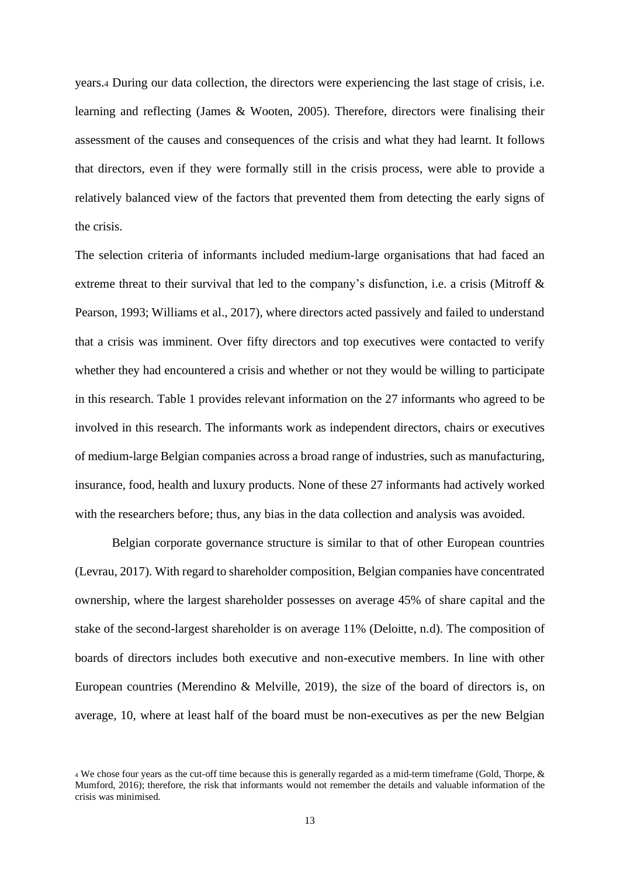years.<sup>4</sup> During our data collection, the directors were experiencing the last stage of crisis, i.e. learning and reflecting (James & Wooten, 2005). Therefore, directors were finalising their assessment of the causes and consequences of the crisis and what they had learnt. It follows that directors, even if they were formally still in the crisis process, were able to provide a relatively balanced view of the factors that prevented them from detecting the early signs of the crisis.

The selection criteria of informants included medium-large organisations that had faced an extreme threat to their survival that led to the company's disfunction, i.e. a crisis (Mitroff  $\&$ Pearson, 1993; Williams et al., 2017), where directors acted passively and failed to understand that a crisis was imminent. Over fifty directors and top executives were contacted to verify whether they had encountered a crisis and whether or not they would be willing to participate in this research. Table 1 provides relevant information on the 27 informants who agreed to be involved in this research. The informants work as independent directors, chairs or executives of medium-large Belgian companies across a broad range of industries, such as manufacturing, insurance, food, health and luxury products. None of these 27 informants had actively worked with the researchers before; thus, any bias in the data collection and analysis was avoided.

Belgian corporate governance structure is similar to that of other European countries (Levrau, 2017). With regard to shareholder composition, Belgian companies have concentrated ownership, where the largest shareholder possesses on average 45% of share capital and the stake of the second-largest shareholder is on average 11% (Deloitte, n.d). The composition of boards of directors includes both executive and non-executive members. In line with other European countries (Merendino & Melville, 2019), the size of the board of directors is, on average, 10, where at least half of the board must be non-executives as per the new Belgian

<sup>4</sup> We chose four years as the cut-off time because this is generally regarded as a mid-term timeframe (Gold, Thorpe, & Mumford, 2016); therefore, the risk that informants would not remember the details and valuable information of the crisis was minimised.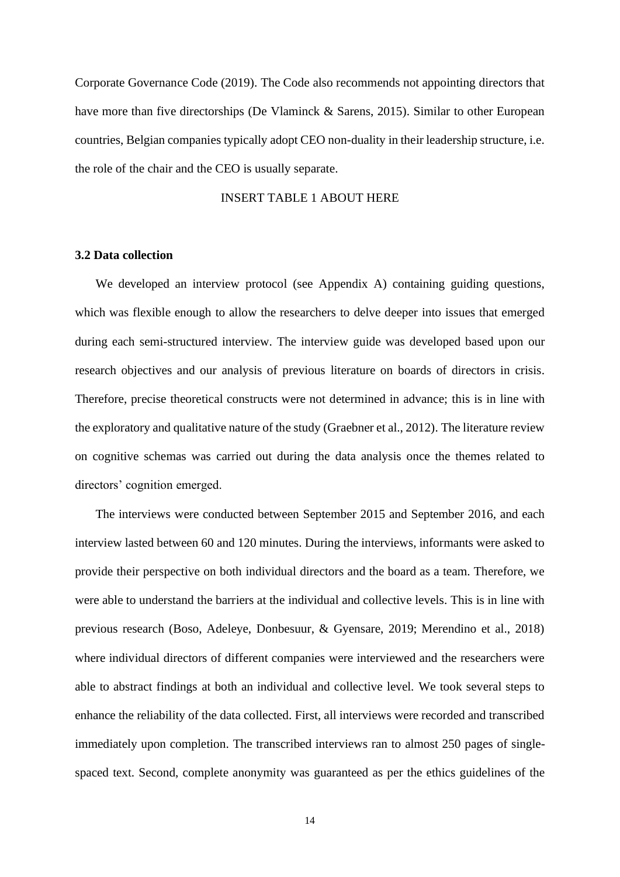Corporate Governance Code (2019). The Code also recommends not appointing directors that have more than five directorships (De Vlaminck & Sarens, 2015). Similar to other European countries, Belgian companies typically adopt CEO non-duality in their leadership structure, i.e. the role of the chair and the CEO is usually separate.

## INSERT TABLE 1 ABOUT HERE

## **3.2 Data collection**

We developed an interview protocol (see Appendix A) containing guiding questions, which was flexible enough to allow the researchers to delve deeper into issues that emerged during each semi-structured interview. The interview guide was developed based upon our research objectives and our analysis of previous literature on boards of directors in crisis. Therefore, precise theoretical constructs were not determined in advance; this is in line with the exploratory and qualitative nature of the study (Graebner et al., 2012). The literature review on cognitive schemas was carried out during the data analysis once the themes related to directors' cognition emerged.

The interviews were conducted between September 2015 and September 2016, and each interview lasted between 60 and 120 minutes. During the interviews, informants were asked to provide their perspective on both individual directors and the board as a team. Therefore, we were able to understand the barriers at the individual and collective levels. This is in line with previous research (Boso, Adeleye, Donbesuur, & Gyensare, 2019; Merendino et al., 2018) where individual directors of different companies were interviewed and the researchers were able to abstract findings at both an individual and collective level. We took several steps to enhance the reliability of the data collected. First, all interviews were recorded and transcribed immediately upon completion. The transcribed interviews ran to almost 250 pages of singlespaced text. Second, complete anonymity was guaranteed as per the ethics guidelines of the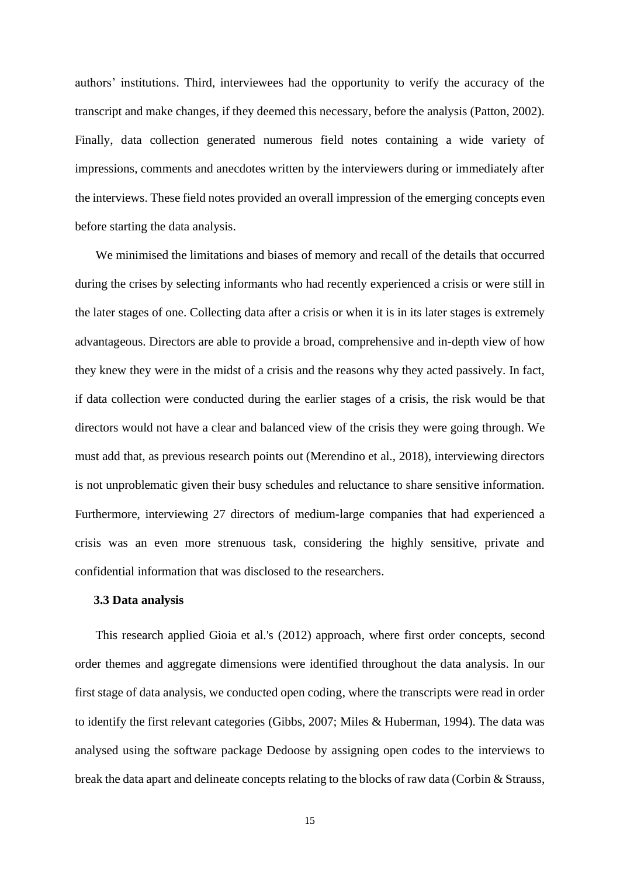authors' institutions. Third, interviewees had the opportunity to verify the accuracy of the transcript and make changes, if they deemed this necessary, before the analysis (Patton, 2002). Finally, data collection generated numerous field notes containing a wide variety of impressions, comments and anecdotes written by the interviewers during or immediately after the interviews. These field notes provided an overall impression of the emerging concepts even before starting the data analysis.

We minimised the limitations and biases of memory and recall of the details that occurred during the crises by selecting informants who had recently experienced a crisis or were still in the later stages of one. Collecting data after a crisis or when it is in its later stages is extremely advantageous. Directors are able to provide a broad, comprehensive and in-depth view of how they knew they were in the midst of a crisis and the reasons why they acted passively. In fact, if data collection were conducted during the earlier stages of a crisis, the risk would be that directors would not have a clear and balanced view of the crisis they were going through. We must add that, as previous research points out (Merendino et al., 2018), interviewing directors is not unproblematic given their busy schedules and reluctance to share sensitive information. Furthermore, interviewing 27 directors of medium-large companies that had experienced a crisis was an even more strenuous task, considering the highly sensitive, private and confidential information that was disclosed to the researchers.

## **3.3 Data analysis**

This research applied Gioia et al.'s (2012) approach, where first order concepts, second order themes and aggregate dimensions were identified throughout the data analysis. In our first stage of data analysis, we conducted open coding, where the transcripts were read in order to identify the first relevant categories (Gibbs, 2007; Miles & Huberman, 1994). The data was analysed using the software package Dedoose by assigning open codes to the interviews to break the data apart and delineate concepts relating to the blocks of raw data (Corbin & Strauss,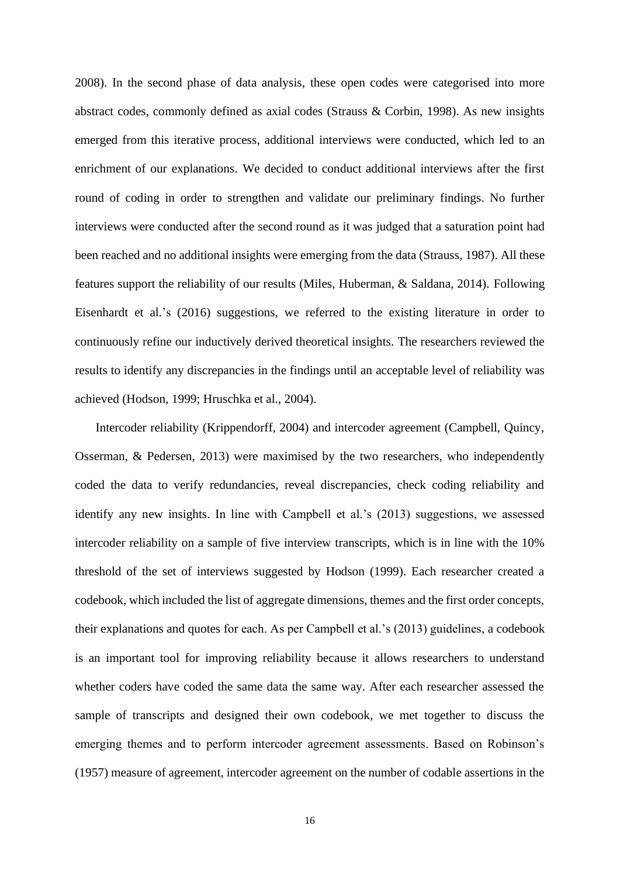2008). In the second phase of data analysis, these open codes were categorised into more abstract codes, commonly defined as axial codes (Strauss & Corbin, 1998). As new insights emerged from this iterative process, additional interviews were conducted, which led to an enrichment of our explanations. We decided to conduct additional interviews after the first round of coding in order to strengthen and validate our preliminary findings. No further interviews were conducted after the second round as it was judged that a saturation point had been reached and no additional insights were emerging from the data (Strauss, 1987). All these features support the reliability of our results (Miles, Huberman, & Saldana, 2014). Following Eisenhardt et al.'s (2016) suggestions, we referred to the existing literature in order to continuously refine our inductively derived theoretical insights. The researchers reviewed the results to identify any discrepancies in the findings until an acceptable level of reliability was achieved (Hodson, 1999; Hruschka et al., 2004).

Intercoder reliability (Krippendorff, 2004) and intercoder agreement (Campbell, Quincy, Osserman, & Pedersen, 2013) were maximised by the two researchers, who independently coded the data to verify redundancies, reveal discrepancies, check coding reliability and identify any new insights. In line with Campbell et al.'s (2013) suggestions, we assessed intercoder reliability on a sample of five interview transcripts, which is in line with the 10% threshold of the set of interviews suggested by Hodson (1999). Each researcher created a codebook, which included the list of aggregate dimensions, themes and the first order concepts, their explanations and quotes for each. As per Campbell et al.'s (2013) guidelines, a codebook is an important tool for improving reliability because it allows researchers to understand whether coders have coded the same data the same way. After each researcher assessed the sample of transcripts and designed their own codebook, we met together to discuss the emerging themes and to perform intercoder agreement assessments. Based on Robinson's (1957) measure of agreement, intercoder agreement on the number of codable assertions in the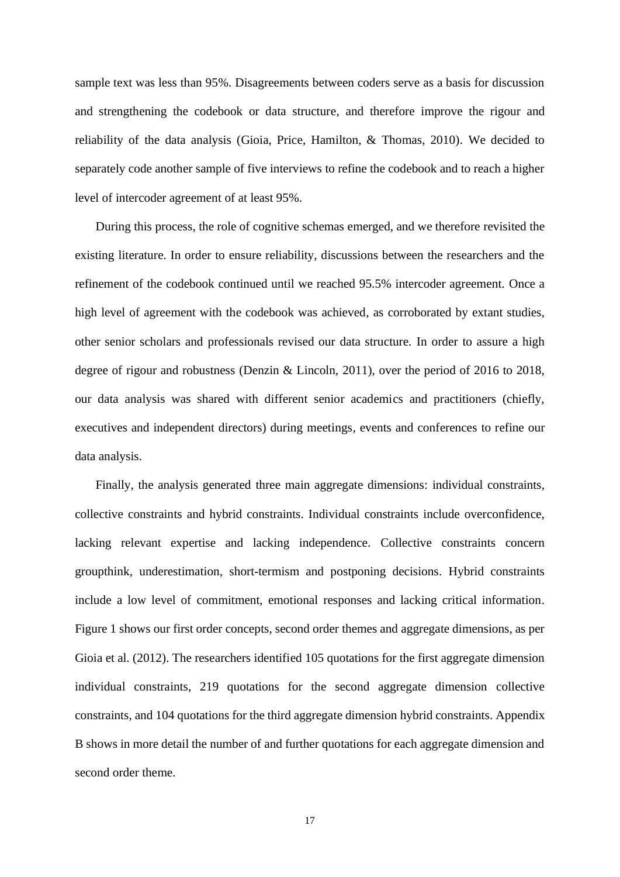sample text was less than 95%. Disagreements between coders serve as a basis for discussion and strengthening the codebook or data structure, and therefore improve the rigour and reliability of the data analysis (Gioia, Price, Hamilton, & Thomas, 2010). We decided to separately code another sample of five interviews to refine the codebook and to reach a higher level of intercoder agreement of at least 95%.

During this process, the role of cognitive schemas emerged, and we therefore revisited the existing literature. In order to ensure reliability, discussions between the researchers and the refinement of the codebook continued until we reached 95.5% intercoder agreement. Once a high level of agreement with the codebook was achieved, as corroborated by extant studies, other senior scholars and professionals revised our data structure. In order to assure a high degree of rigour and robustness (Denzin & Lincoln, 2011), over the period of 2016 to 2018, our data analysis was shared with different senior academics and practitioners (chiefly, executives and independent directors) during meetings, events and conferences to refine our data analysis.

Finally, the analysis generated three main aggregate dimensions: individual constraints, collective constraints and hybrid constraints. Individual constraints include overconfidence, lacking relevant expertise and lacking independence. Collective constraints concern groupthink, underestimation, short-termism and postponing decisions. Hybrid constraints include a low level of commitment, emotional responses and lacking critical information. Figure 1 shows our first order concepts, second order themes and aggregate dimensions, as per Gioia et al. (2012). The researchers identified 105 quotations for the first aggregate dimension individual constraints, 219 quotations for the second aggregate dimension collective constraints, and 104 quotations for the third aggregate dimension hybrid constraints. Appendix B shows in more detail the number of and further quotations for each aggregate dimension and second order theme.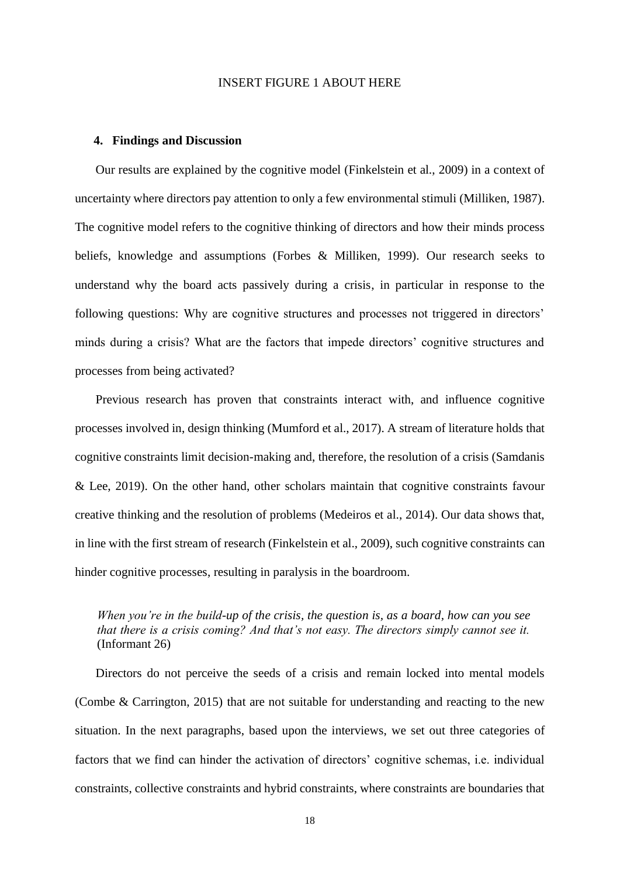## INSERT FIGURE 1 ABOUT HERE

#### **4. Findings and Discussion**

Our results are explained by the cognitive model (Finkelstein et al., 2009) in a context of uncertainty where directors pay attention to only a few environmental stimuli (Milliken, 1987). The cognitive model refers to the cognitive thinking of directors and how their minds process beliefs, knowledge and assumptions (Forbes & Milliken, 1999). Our research seeks to understand why the board acts passively during a crisis, in particular in response to the following questions: Why are cognitive structures and processes not triggered in directors' minds during a crisis? What are the factors that impede directors' cognitive structures and processes from being activated?

Previous research has proven that constraints interact with, and influence cognitive processes involved in, design thinking (Mumford et al., 2017). A stream of literature holds that cognitive constraints limit decision-making and, therefore, the resolution of a crisis (Samdanis & Lee, 2019). On the other hand, other scholars maintain that cognitive constraints favour creative thinking and the resolution of problems (Medeiros et al., 2014). Our data shows that, in line with the first stream of research (Finkelstein et al., 2009), such cognitive constraints can hinder cognitive processes, resulting in paralysis in the boardroom.

## *When you're in the build-up of the crisis, the question is, as a board, how can you see that there is a crisis coming? And that's not easy. The directors simply cannot see it.*  (Informant 26)

Directors do not perceive the seeds of a crisis and remain locked into mental models (Combe & Carrington, 2015) that are not suitable for understanding and reacting to the new situation. In the next paragraphs, based upon the interviews, we set out three categories of factors that we find can hinder the activation of directors' cognitive schemas, i.e. individual constraints, collective constraints and hybrid constraints, where constraints are boundaries that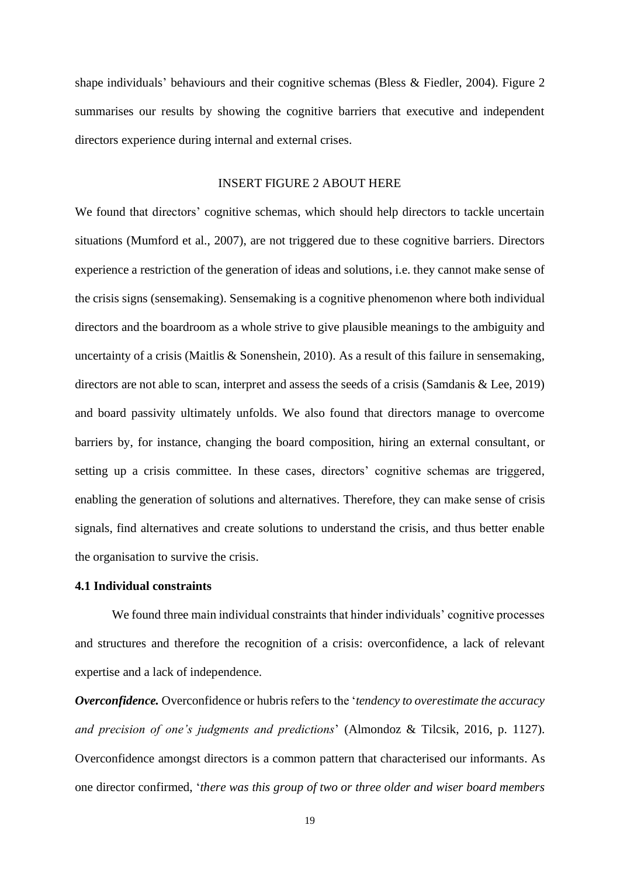shape individuals' behaviours and their cognitive schemas (Bless & Fiedler, 2004). Figure 2 summarises our results by showing the cognitive barriers that executive and independent directors experience during internal and external crises.

## INSERT FIGURE 2 ABOUT HERE

We found that directors' cognitive schemas, which should help directors to tackle uncertain situations (Mumford et al., 2007), are not triggered due to these cognitive barriers. Directors experience a restriction of the generation of ideas and solutions, i.e. they cannot make sense of the crisis signs (sensemaking). Sensemaking is a cognitive phenomenon where both individual directors and the boardroom as a whole strive to give plausible meanings to the ambiguity and uncertainty of a crisis (Maitlis & Sonenshein, 2010). As a result of this failure in sensemaking, directors are not able to scan, interpret and assess the seeds of a crisis (Samdanis & Lee, 2019) and board passivity ultimately unfolds. We also found that directors manage to overcome barriers by, for instance, changing the board composition, hiring an external consultant, or setting up a crisis committee. In these cases, directors' cognitive schemas are triggered, enabling the generation of solutions and alternatives. Therefore, they can make sense of crisis signals, find alternatives and create solutions to understand the crisis, and thus better enable the organisation to survive the crisis.

## **4.1 Individual constraints**

We found three main individual constraints that hinder individuals' cognitive processes and structures and therefore the recognition of a crisis: overconfidence, a lack of relevant expertise and a lack of independence.

*Overconfidence.* Overconfidence or hubris refers to the '*tendency to overestimate the accuracy and precision of one's judgments and predictions*' (Almondoz & Tilcsik, 2016, p. 1127). Overconfidence amongst directors is a common pattern that characterised our informants. As one director confirmed, '*there was this group of two or three older and wiser board members*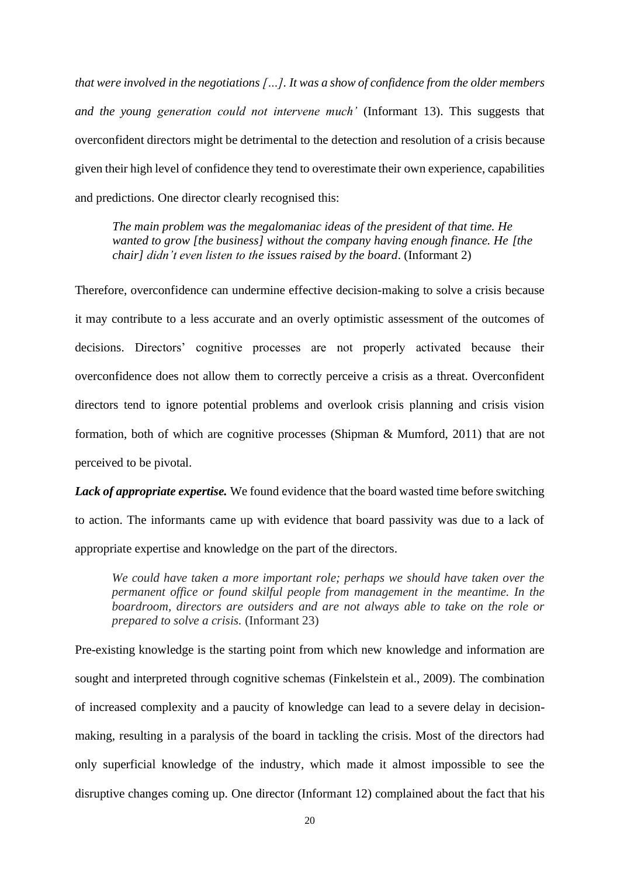*that were involved in the negotiations […]. It was a show of confidence from the older members and the young generation could not intervene much'* (Informant 13). This suggests that overconfident directors might be detrimental to the detection and resolution of a crisis because given their high level of confidence they tend to overestimate their own experience, capabilities and predictions. One director clearly recognised this:

*The main problem was the megalomaniac ideas of the president of that time. He wanted to grow [the business] without the company having enough finance. He [the chair] didn't even listen to the issues raised by the board*. (Informant 2)

Therefore, overconfidence can undermine effective decision-making to solve a crisis because it may contribute to a less accurate and an overly optimistic assessment of the outcomes of decisions. Directors' cognitive processes are not properly activated because their overconfidence does not allow them to correctly perceive a crisis as a threat. Overconfident directors tend to ignore potential problems and overlook crisis planning and crisis vision formation, both of which are cognitive processes (Shipman & Mumford, 2011) that are not perceived to be pivotal.

*Lack of appropriate expertise.* We found evidence that the board wasted time before switching to action. The informants came up with evidence that board passivity was due to a lack of appropriate expertise and knowledge on the part of the directors.

*We could have taken a more important role; perhaps we should have taken over the permanent office or found skilful people from management in the meantime. In the boardroom, directors are outsiders and are not always able to take on the role or prepared to solve a crisis.* (Informant 23)

Pre-existing knowledge is the starting point from which new knowledge and information are sought and interpreted through cognitive schemas (Finkelstein et al., 2009). The combination of increased complexity and a paucity of knowledge can lead to a severe delay in decisionmaking, resulting in a paralysis of the board in tackling the crisis. Most of the directors had only superficial knowledge of the industry, which made it almost impossible to see the disruptive changes coming up. One director (Informant 12) complained about the fact that his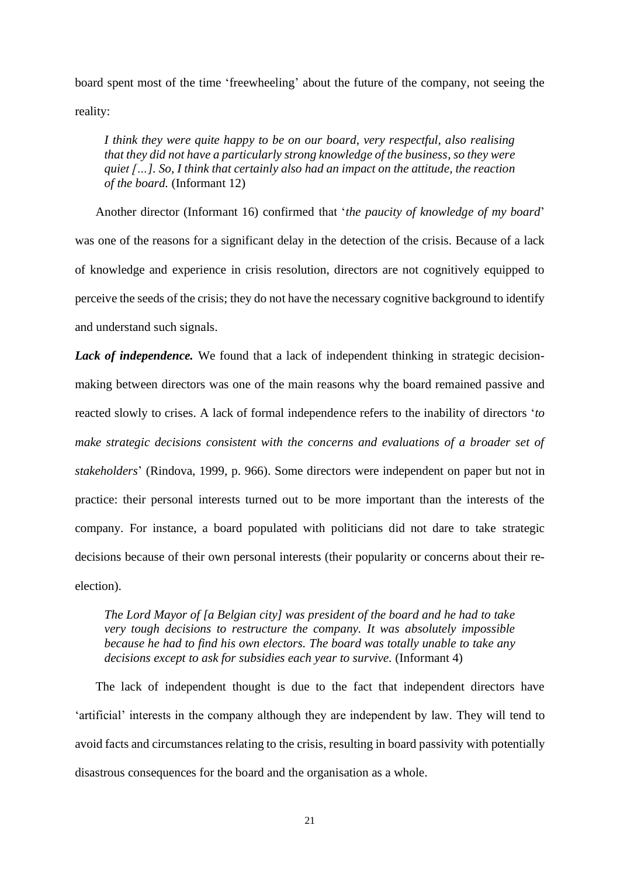board spent most of the time 'freewheeling' about the future of the company, not seeing the reality:

*I think they were quite happy to be on our board, very respectful, also realising that they did not have a particularly strong knowledge of the business, so they were quiet […]. So, I think that certainly also had an impact on the attitude, the reaction of the board.* (Informant 12)

Another director (Informant 16) confirmed that '*the paucity of knowledge of my board*' was one of the reasons for a significant delay in the detection of the crisis. Because of a lack of knowledge and experience in crisis resolution, directors are not cognitively equipped to perceive the seeds of the crisis; they do not have the necessary cognitive background to identify and understand such signals.

**Lack of independence.** We found that a lack of independent thinking in strategic decisionmaking between directors was one of the main reasons why the board remained passive and reacted slowly to crises. A lack of formal independence refers to the inability of directors '*to make strategic decisions consistent with the concerns and evaluations of a broader set of stakeholders*' (Rindova, 1999, p. 966). Some directors were independent on paper but not in practice: their personal interests turned out to be more important than the interests of the company. For instance, a board populated with politicians did not dare to take strategic decisions because of their own personal interests (their popularity or concerns about their reelection).

*The Lord Mayor of [a Belgian city] was president of the board and he had to take very tough decisions to restructure the company. It was absolutely impossible because he had to find his own electors. The board was totally unable to take any decisions except to ask for subsidies each year to survive.* (Informant 4)

The lack of independent thought is due to the fact that independent directors have 'artificial' interests in the company although they are independent by law. They will tend to avoid facts and circumstances relating to the crisis, resulting in board passivity with potentially disastrous consequences for the board and the organisation as a whole.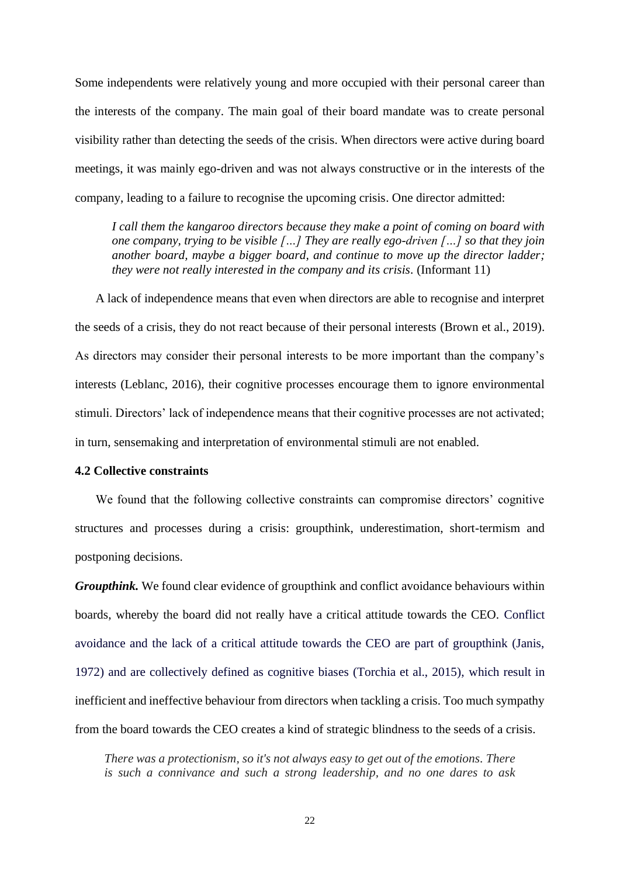Some independents were relatively young and more occupied with their personal career than the interests of the company. The main goal of their board mandate was to create personal visibility rather than detecting the seeds of the crisis. When directors were active during board meetings, it was mainly ego-driven and was not always constructive or in the interests of the company, leading to a failure to recognise the upcoming crisis. One director admitted:

*I call them the kangaroo directors because they make a point of coming on board with one company, trying to be visible […] They are really ego-driven […] so that they join another board, maybe a bigger board, and continue to move up the director ladder; they were not really interested in the company and its crisis.* (Informant 11)

A lack of independence means that even when directors are able to recognise and interpret the seeds of a crisis, they do not react because of their personal interests (Brown et al., 2019). As directors may consider their personal interests to be more important than the company's interests (Leblanc, 2016), their cognitive processes encourage them to ignore environmental stimuli. Directors' lack of independence means that their cognitive processes are not activated; in turn, sensemaking and interpretation of environmental stimuli are not enabled.

## **4.2 Collective constraints**

We found that the following collective constraints can compromise directors' cognitive structures and processes during a crisis: groupthink, underestimation, short-termism and postponing decisions.

*Groupthink.* We found clear evidence of groupthink and conflict avoidance behaviours within boards, whereby the board did not really have a critical attitude towards the CEO. Conflict avoidance and the lack of a critical attitude towards the CEO are part of groupthink (Janis, 1972) and are collectively defined as cognitive biases (Torchia et al., 2015), which result in inefficient and ineffective behaviour from directors when tackling a crisis. Too much sympathy from the board towards the CEO creates a kind of strategic blindness to the seeds of a crisis.

*There was a protectionism, so it's not always easy to get out of the emotions. There is such a connivance and such a strong leadership, and no one dares to ask*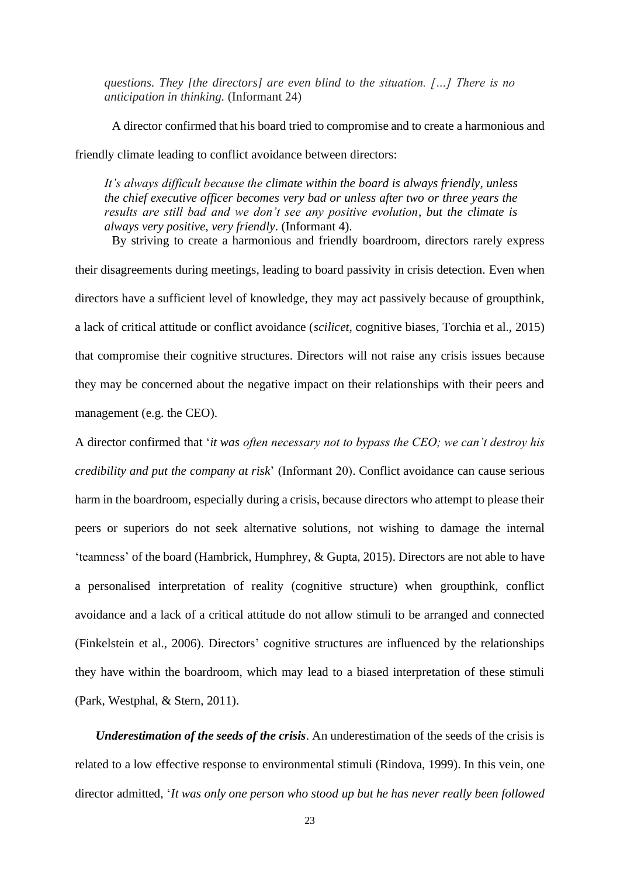*questions. They [the directors] are even blind to the situation. […] There is no anticipation in thinking.* (Informant 24)

A director confirmed that his board tried to compromise and to create a harmonious and friendly climate leading to conflict avoidance between directors:

*It's always difficult because the climate within the board is always friendly, unless the chief executive officer becomes very bad or unless after two or three years the results are still bad and we don't see any positive evolution, but the climate is always very positive, very friendly*. (Informant 4).

By striving to create a harmonious and friendly boardroom, directors rarely express their disagreements during meetings, leading to board passivity in crisis detection. Even when directors have a sufficient level of knowledge, they may act passively because of groupthink, a lack of critical attitude or conflict avoidance (*scilicet*, cognitive biases, Torchia et al., 2015) that compromise their cognitive structures. Directors will not raise any crisis issues because they may be concerned about the negative impact on their relationships with their peers and management (e.g. the CEO).

A director confirmed that '*it was often necessary not to bypass the CEO; we can't destroy his credibility and put the company at risk*' (Informant 20). Conflict avoidance can cause serious harm in the boardroom, especially during a crisis, because directors who attempt to please their peers or superiors do not seek alternative solutions, not wishing to damage the internal 'teamness' of the board (Hambrick, Humphrey, & Gupta, 2015). Directors are not able to have a personalised interpretation of reality (cognitive structure) when groupthink, conflict avoidance and a lack of a critical attitude do not allow stimuli to be arranged and connected (Finkelstein et al., 2006). Directors' cognitive structures are influenced by the relationships they have within the boardroom, which may lead to a biased interpretation of these stimuli (Park, Westphal, & Stern, 2011).

*Underestimation of the seeds of the crisis*. An underestimation of the seeds of the crisis is related to a low effective response to environmental stimuli (Rindova, 1999). In this vein, one director admitted, '*It was only one person who stood up but he has never really been followed*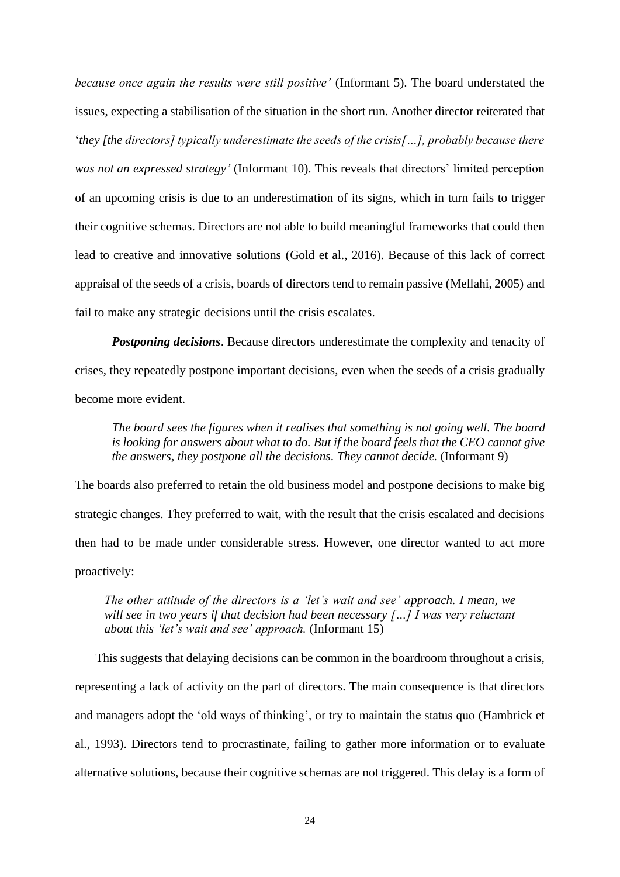*because once again the results were still positive'* (Informant 5). The board understated the issues, expecting a stabilisation of the situation in the short run. Another director reiterated that '*they [the directors] typically underestimate the seeds of the crisis[…], probably because there was not an expressed strategy'* (Informant 10). This reveals that directors' limited perception of an upcoming crisis is due to an underestimation of its signs, which in turn fails to trigger their cognitive schemas. Directors are not able to build meaningful frameworks that could then lead to creative and innovative solutions (Gold et al., 2016). Because of this lack of correct appraisal of the seeds of a crisis, boards of directors tend to remain passive (Mellahi, 2005) and fail to make any strategic decisions until the crisis escalates.

*Postponing decisions*. Because directors underestimate the complexity and tenacity of crises, they repeatedly postpone important decisions, even when the seeds of a crisis gradually become more evident.

*The board sees the figures when it realises that something is not going well. The board is looking for answers about what to do. But if the board feels that the CEO cannot give the answers, they postpone all the decisions. They cannot decide.* (Informant 9)

The boards also preferred to retain the old business model and postpone decisions to make big strategic changes. They preferred to wait, with the result that the crisis escalated and decisions then had to be made under considerable stress. However, one director wanted to act more proactively:

*The other attitude of the directors is a 'let's wait and see' approach. I mean, we will see in two years if that decision had been necessary […] I was very reluctant about this 'let's wait and see' approach.* (Informant 15)

This suggests that delaying decisions can be common in the boardroom throughout a crisis, representing a lack of activity on the part of directors. The main consequence is that directors and managers adopt the 'old ways of thinking', or try to maintain the status quo (Hambrick et al., 1993). Directors tend to procrastinate, failing to gather more information or to evaluate alternative solutions, because their cognitive schemas are not triggered. This delay is a form of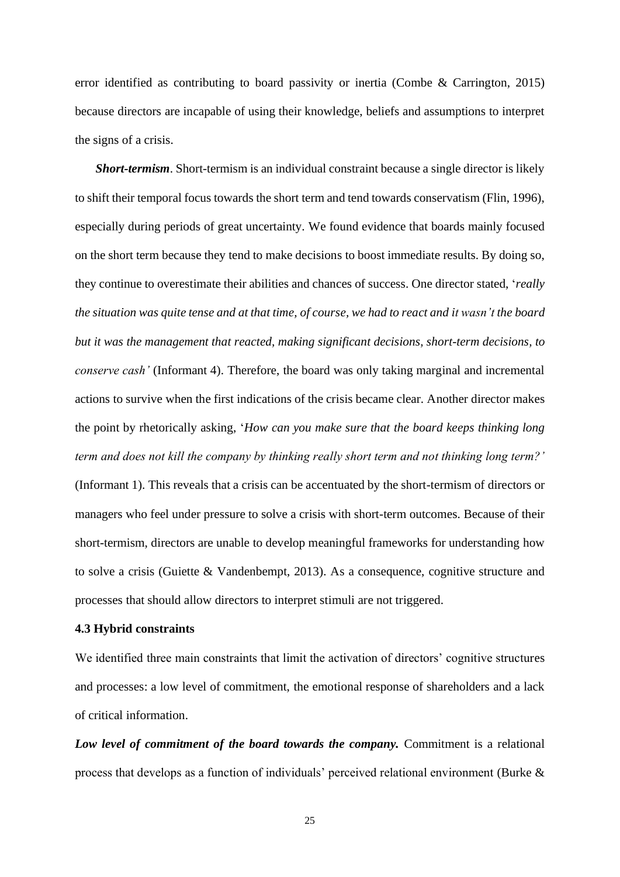error identified as contributing to board passivity or inertia (Combe & Carrington, 2015) because directors are incapable of using their knowledge, beliefs and assumptions to interpret the signs of a crisis.

*Short-termism*. Short-termism is an individual constraint because a single director is likely to shift their temporal focus towards the short term and tend towards conservatism (Flin, 1996), especially during periods of great uncertainty. We found evidence that boards mainly focused on the short term because they tend to make decisions to boost immediate results. By doing so, they continue to overestimate their abilities and chances of success. One director stated, '*really the situation was quite tense and at that time, of course, we had to react and it wasn't the board but it was the management that reacted, making significant decisions, short-term decisions, to conserve cash'* (Informant 4). Therefore, the board was only taking marginal and incremental actions to survive when the first indications of the crisis became clear. Another director makes the point by rhetorically asking, '*How can you make sure that the board keeps thinking long term and does not kill the company by thinking really short term and not thinking long term?'* (Informant 1). This reveals that a crisis can be accentuated by the short-termism of directors or managers who feel under pressure to solve a crisis with short-term outcomes. Because of their short-termism, directors are unable to develop meaningful frameworks for understanding how to solve a crisis (Guiette & Vandenbempt, 2013). As a consequence, cognitive structure and processes that should allow directors to interpret stimuli are not triggered.

## **4.3 Hybrid constraints**

We identified three main constraints that limit the activation of directors' cognitive structures and processes: a low level of commitment, the emotional response of shareholders and a lack of critical information.

*Low level of commitment of the board towards the company.* Commitment is a relational process that develops as a function of individuals' perceived relational environment (Burke &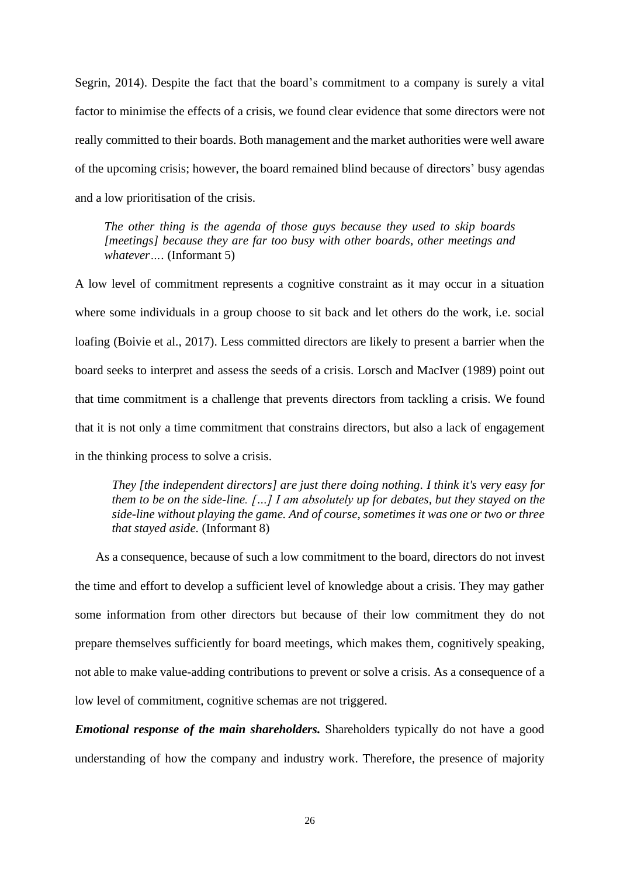Segrin, 2014). Despite the fact that the board's commitment to a company is surely a vital factor to minimise the effects of a crisis, we found clear evidence that some directors were not really committed to their boards. Both management and the market authorities were well aware of the upcoming crisis; however, the board remained blind because of directors' busy agendas and a low prioritisation of the crisis.

*The other thing is the agenda of those guys because they used to skip boards [meetings] because they are far too busy with other boards, other meetings and whatever….* (Informant 5)

A low level of commitment represents a cognitive constraint as it may occur in a situation where some individuals in a group choose to sit back and let others do the work, i.e. social loafing (Boivie et al., 2017). Less committed directors are likely to present a barrier when the board seeks to interpret and assess the seeds of a crisis. Lorsch and MacIver (1989) point out that time commitment is a challenge that prevents directors from tackling a crisis. We found that it is not only a time commitment that constrains directors, but also a lack of engagement in the thinking process to solve a crisis.

*They [the independent directors] are just there doing nothing. I think it's very easy for them to be on the side-line. […] I am absolutely up for debates, but they stayed on the side-line without playing the game. And of course, sometimes it was one or two or three that stayed aside.* (Informant 8)

As a consequence, because of such a low commitment to the board, directors do not invest the time and effort to develop a sufficient level of knowledge about a crisis. They may gather some information from other directors but because of their low commitment they do not prepare themselves sufficiently for board meetings, which makes them, cognitively speaking, not able to make value-adding contributions to prevent or solve a crisis. As a consequence of a low level of commitment, cognitive schemas are not triggered.

*Emotional response of the main shareholders.* Shareholders typically do not have a good understanding of how the company and industry work. Therefore, the presence of majority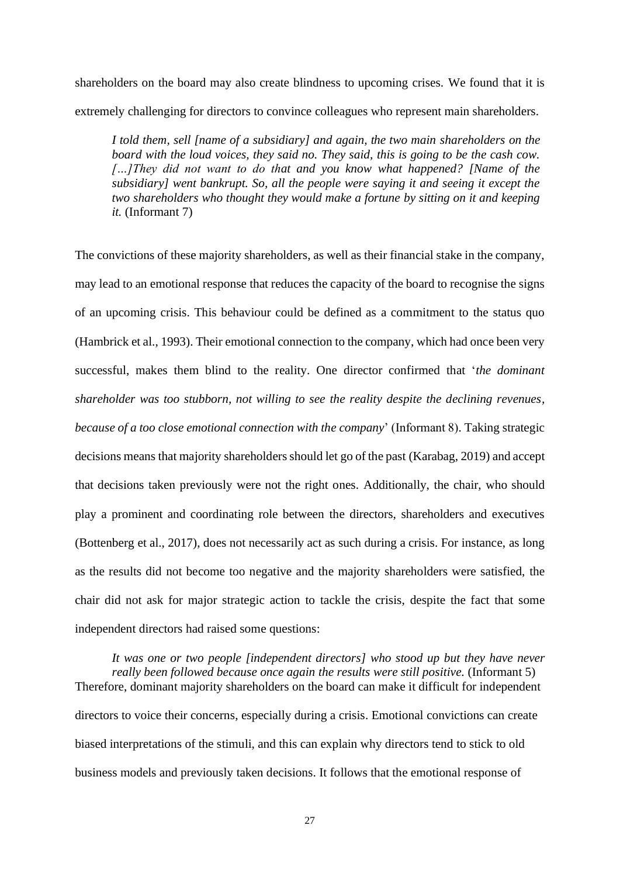shareholders on the board may also create blindness to upcoming crises. We found that it is extremely challenging for directors to convince colleagues who represent main shareholders.

*I told them, sell [name of a subsidiary] and again, the two main shareholders on the board with the loud voices, they said no. They said, this is going to be the cash cow. […]They did not want to do that and you know what happened? [Name of the subsidiary] went bankrupt. So, all the people were saying it and seeing it except the two shareholders who thought they would make a fortune by sitting on it and keeping it.* (Informant 7)

The convictions of these majority shareholders, as well as their financial stake in the company, may lead to an emotional response that reduces the capacity of the board to recognise the signs of an upcoming crisis. This behaviour could be defined as a commitment to the status quo (Hambrick et al., 1993). Their emotional connection to the company, which had once been very successful, makes them blind to the reality. One director confirmed that '*the dominant shareholder was too stubborn, not willing to see the reality despite the declining revenues, because of a too close emotional connection with the company*' (Informant 8). Taking strategic decisions means that majority shareholders should let go of the past (Karabag, 2019) and accept that decisions taken previously were not the right ones. Additionally, the chair, who should play a prominent and coordinating role between the directors, shareholders and executives (Bottenberg et al., 2017), does not necessarily act as such during a crisis. For instance, as long as the results did not become too negative and the majority shareholders were satisfied, the chair did not ask for major strategic action to tackle the crisis, despite the fact that some independent directors had raised some questions:

*It was one or two people [independent directors] who stood up but they have never really been followed because once again the results were still positive.* (Informant 5) Therefore, dominant majority shareholders on the board can make it difficult for independent directors to voice their concerns, especially during a crisis. Emotional convictions can create biased interpretations of the stimuli, and this can explain why directors tend to stick to old business models and previously taken decisions. It follows that the emotional response of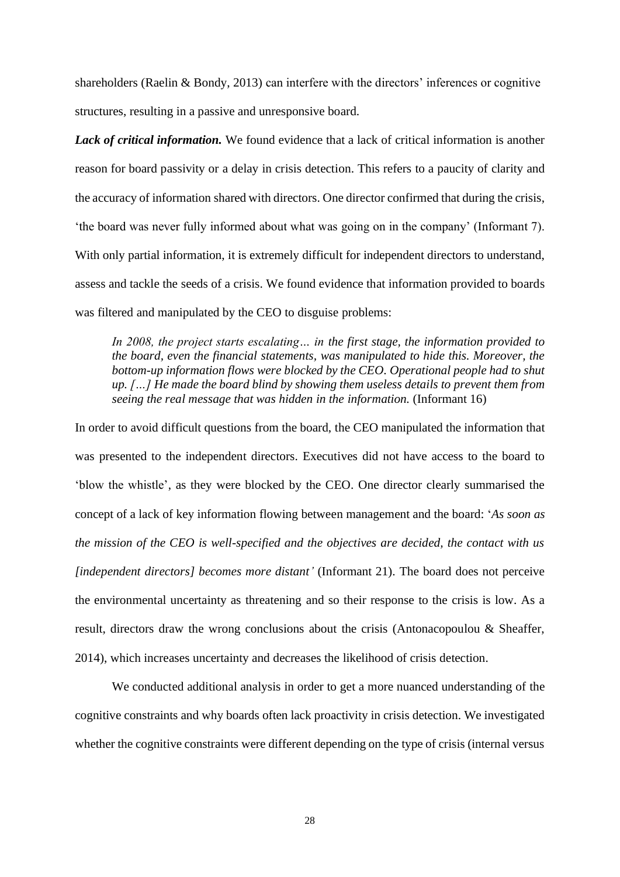shareholders (Raelin & Bondy, 2013) can interfere with the directors' inferences or cognitive structures, resulting in a passive and unresponsive board.

*Lack of critical information.* We found evidence that a lack of critical information is another reason for board passivity or a delay in crisis detection. This refers to a paucity of clarity and the accuracy of information shared with directors. One director confirmed that during the crisis, 'the board was never fully informed about what was going on in the company' (Informant 7). With only partial information, it is extremely difficult for independent directors to understand, assess and tackle the seeds of a crisis. We found evidence that information provided to boards was filtered and manipulated by the CEO to disguise problems:

*In 2008, the project starts escalating… in the first stage, the information provided to the board, even the financial statements, was manipulated to hide this. Moreover, the bottom-up information flows were blocked by the CEO. Operational people had to shut up. […] He made the board blind by showing them useless details to prevent them from seeing the real message that was hidden in the information.* (Informant 16)

In order to avoid difficult questions from the board, the CEO manipulated the information that was presented to the independent directors. Executives did not have access to the board to 'blow the whistle', as they were blocked by the CEO. One director clearly summarised the concept of a lack of key information flowing between management and the board: '*As soon as the mission of the CEO is well-specified and the objectives are decided, the contact with us [independent directors] becomes more distant'* (Informant 21). The board does not perceive the environmental uncertainty as threatening and so their response to the crisis is low. As a result, directors draw the wrong conclusions about the crisis (Antonacopoulou & Sheaffer, 2014), which increases uncertainty and decreases the likelihood of crisis detection.

We conducted additional analysis in order to get a more nuanced understanding of the cognitive constraints and why boards often lack proactivity in crisis detection. We investigated whether the cognitive constraints were different depending on the type of crisis (internal versus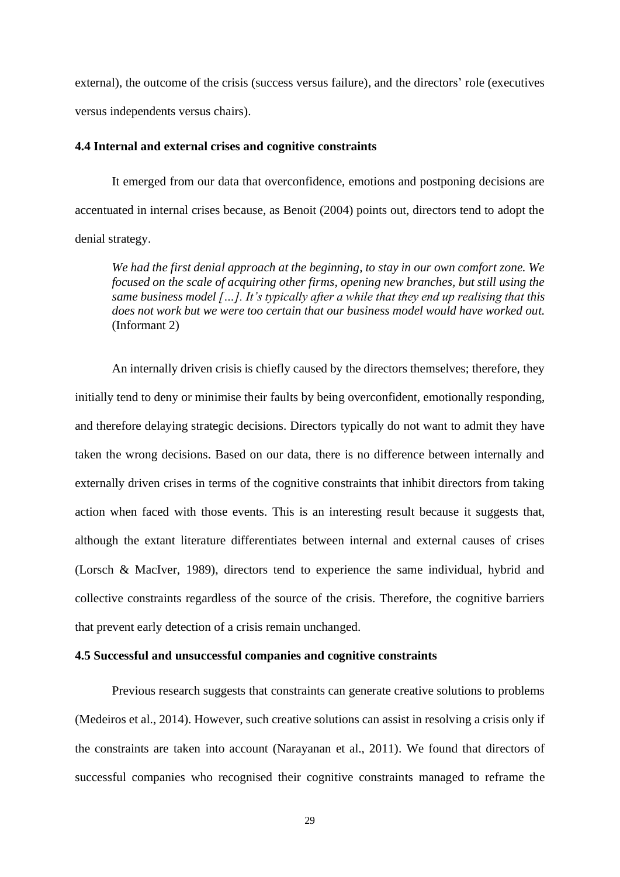external), the outcome of the crisis (success versus failure), and the directors' role (executives versus independents versus chairs).

## **4.4 Internal and external crises and cognitive constraints**

It emerged from our data that overconfidence, emotions and postponing decisions are accentuated in internal crises because, as Benoit (2004) points out, directors tend to adopt the denial strategy.

*We had the first denial approach at the beginning, to stay in our own comfort zone. We focused on the scale of acquiring other firms, opening new branches, but still using the same business model […]. It's typically after a while that they end up realising that this does not work but we were too certain that our business model would have worked out.* (Informant 2)

An internally driven crisis is chiefly caused by the directors themselves; therefore, they initially tend to deny or minimise their faults by being overconfident, emotionally responding, and therefore delaying strategic decisions. Directors typically do not want to admit they have taken the wrong decisions. Based on our data, there is no difference between internally and externally driven crises in terms of the cognitive constraints that inhibit directors from taking action when faced with those events. This is an interesting result because it suggests that, although the extant literature differentiates between internal and external causes of crises (Lorsch & MacIver, 1989), directors tend to experience the same individual, hybrid and collective constraints regardless of the source of the crisis. Therefore, the cognitive barriers that prevent early detection of a crisis remain unchanged.

## **4.5 Successful and unsuccessful companies and cognitive constraints**

Previous research suggests that constraints can generate creative solutions to problems (Medeiros et al., 2014). However, such creative solutions can assist in resolving a crisis only if the constraints are taken into account (Narayanan et al., 2011). We found that directors of successful companies who recognised their cognitive constraints managed to reframe the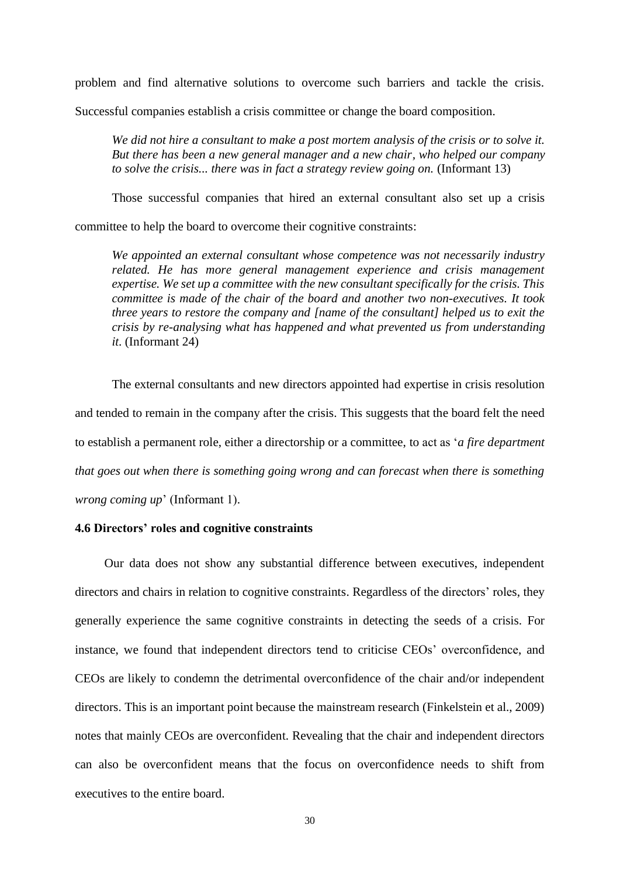problem and find alternative solutions to overcome such barriers and tackle the crisis.

Successful companies establish a crisis committee or change the board composition.

*We did not hire a consultant to make a post mortem analysis of the crisis or to solve it. But there has been a new general manager and a new chair, who helped our company to solve the crisis... there was in fact a strategy review going on.* (Informant 13)

Those successful companies that hired an external consultant also set up a crisis

committee to help the board to overcome their cognitive constraints:

*We appointed an external consultant whose competence was not necessarily industry related. He has more general management experience and crisis management expertise. We set up a committee with the new consultant specifically for the crisis. This committee is made of the chair of the board and another two non-executives. It took three years to restore the company and [name of the consultant] helped us to exit the crisis by re-analysing what has happened and what prevented us from understanding it*. (Informant 24)

The external consultants and new directors appointed had expertise in crisis resolution and tended to remain in the company after the crisis. This suggests that the board felt the need to establish a permanent role, either a directorship or a committee, to act as '*a fire department that goes out when there is something going wrong and can forecast when there is something wrong coming up*' (Informant 1).

## **4.6 Directors' roles and cognitive constraints**

Our data does not show any substantial difference between executives, independent directors and chairs in relation to cognitive constraints. Regardless of the directors' roles, they generally experience the same cognitive constraints in detecting the seeds of a crisis. For instance, we found that independent directors tend to criticise CEOs' overconfidence, and CEOs are likely to condemn the detrimental overconfidence of the chair and/or independent directors. This is an important point because the mainstream research (Finkelstein et al., 2009) notes that mainly CEOs are overconfident. Revealing that the chair and independent directors can also be overconfident means that the focus on overconfidence needs to shift from executives to the entire board.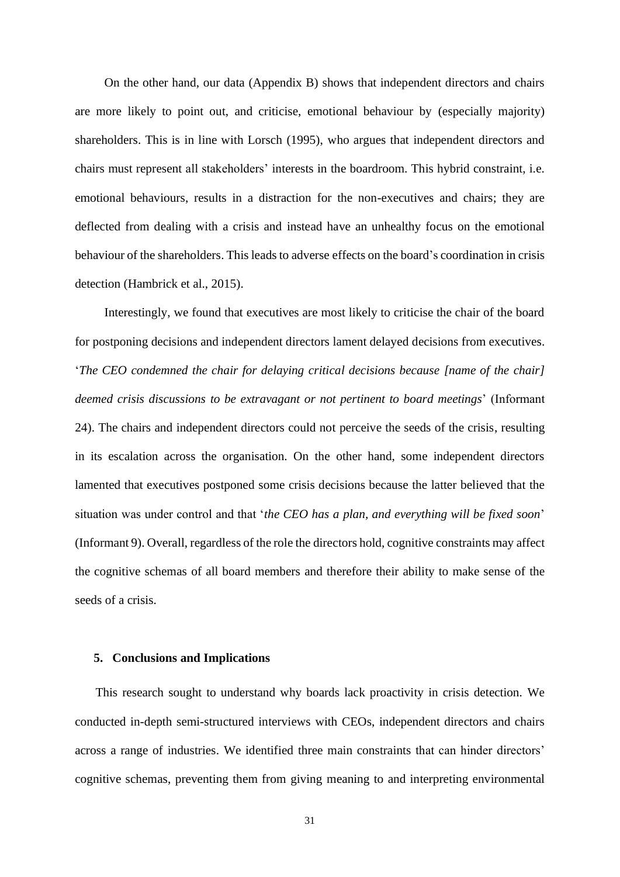On the other hand, our data (Appendix B) shows that independent directors and chairs are more likely to point out, and criticise, emotional behaviour by (especially majority) shareholders. This is in line with Lorsch (1995), who argues that independent directors and chairs must represent all stakeholders' interests in the boardroom. This hybrid constraint, i.e. emotional behaviours, results in a distraction for the non-executives and chairs; they are deflected from dealing with a crisis and instead have an unhealthy focus on the emotional behaviour of the shareholders. This leads to adverse effects on the board's coordination in crisis detection (Hambrick et al., 2015).

Interestingly, we found that executives are most likely to criticise the chair of the board for postponing decisions and independent directors lament delayed decisions from executives. '*The CEO condemned the chair for delaying critical decisions because [name of the chair] deemed crisis discussions to be extravagant or not pertinent to board meetings*' (Informant 24). The chairs and independent directors could not perceive the seeds of the crisis, resulting in its escalation across the organisation. On the other hand, some independent directors lamented that executives postponed some crisis decisions because the latter believed that the situation was under control and that '*the CEO has a plan, and everything will be fixed soon*' (Informant 9). Overall, regardless of the role the directors hold, cognitive constraints may affect the cognitive schemas of all board members and therefore their ability to make sense of the seeds of a crisis.

## **5. Conclusions and Implications**

This research sought to understand why boards lack proactivity in crisis detection. We conducted in-depth semi-structured interviews with CEOs, independent directors and chairs across a range of industries. We identified three main constraints that can hinder directors' cognitive schemas, preventing them from giving meaning to and interpreting environmental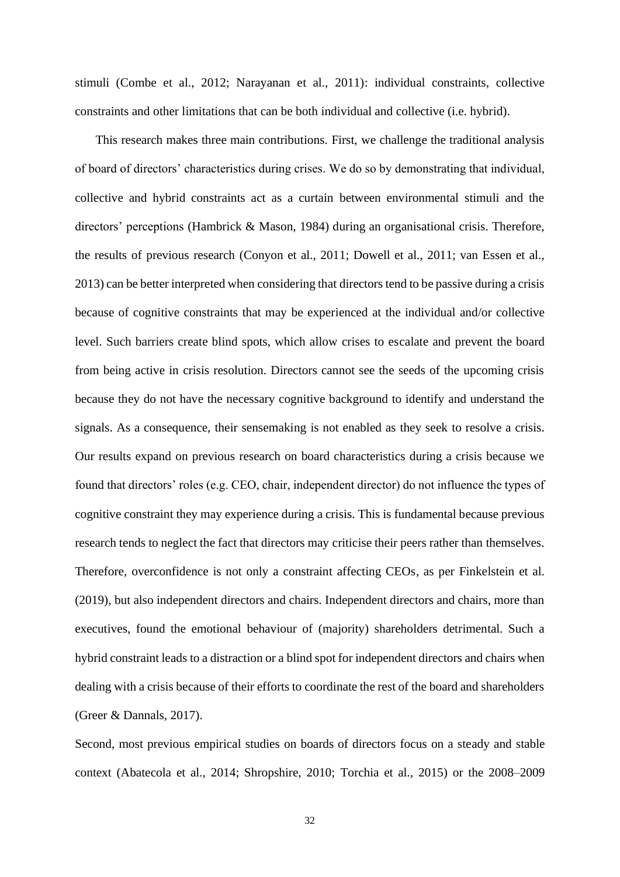stimuli (Combe et al., 2012; Narayanan et al., 2011): individual constraints, collective constraints and other limitations that can be both individual and collective (i.e. hybrid).

This research makes three main contributions. First, we challenge the traditional analysis of board of directors' characteristics during crises. We do so by demonstrating that individual, collective and hybrid constraints act as a curtain between environmental stimuli and the directors' perceptions (Hambrick & Mason, 1984) during an organisational crisis. Therefore, the results of previous research (Conyon et al., 2011; Dowell et al., 2011; van Essen et al., 2013) can be better interpreted when considering that directors tend to be passive during a crisis because of cognitive constraints that may be experienced at the individual and/or collective level. Such barriers create blind spots, which allow crises to escalate and prevent the board from being active in crisis resolution. Directors cannot see the seeds of the upcoming crisis because they do not have the necessary cognitive background to identify and understand the signals. As a consequence, their sensemaking is not enabled as they seek to resolve a crisis. Our results expand on previous research on board characteristics during a crisis because we found that directors' roles (e.g. CEO, chair, independent director) do not influence the types of cognitive constraint they may experience during a crisis. This is fundamental because previous research tends to neglect the fact that directors may criticise their peers rather than themselves. Therefore, overconfidence is not only a constraint affecting CEOs, as per Finkelstein et al. (2019), but also independent directors and chairs. Independent directors and chairs, more than executives, found the emotional behaviour of (majority) shareholders detrimental. Such a hybrid constraint leads to a distraction or a blind spot for independent directors and chairs when dealing with a crisis because of their efforts to coordinate the rest of the board and shareholders (Greer & Dannals, 2017).

Second, most previous empirical studies on boards of directors focus on a steady and stable context (Abatecola et al., 2014; Shropshire, 2010; Torchia et al., 2015) or the 2008–2009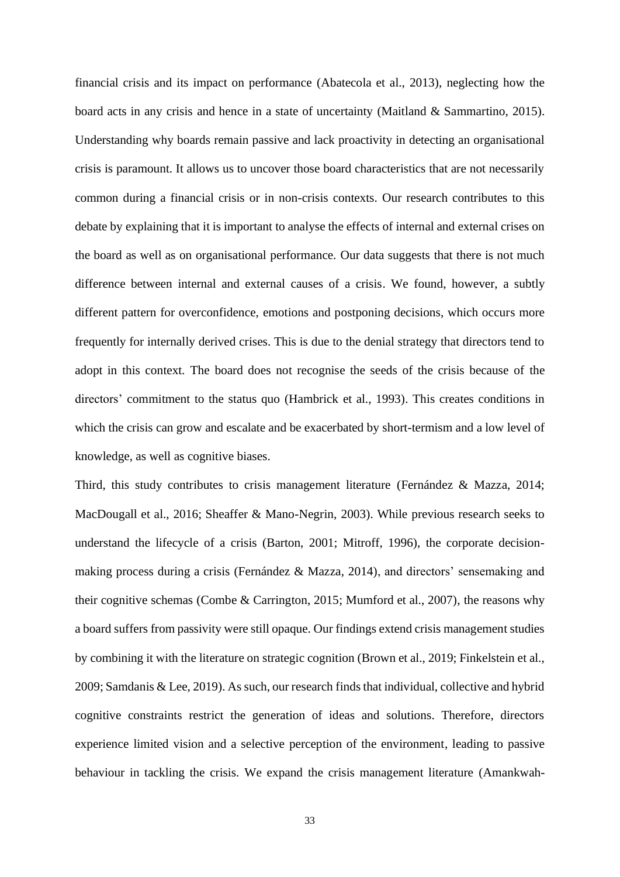financial crisis and its impact on performance (Abatecola et al., 2013), neglecting how the board acts in any crisis and hence in a state of uncertainty (Maitland & Sammartino, 2015). Understanding why boards remain passive and lack proactivity in detecting an organisational crisis is paramount. It allows us to uncover those board characteristics that are not necessarily common during a financial crisis or in non-crisis contexts. Our research contributes to this debate by explaining that it is important to analyse the effects of internal and external crises on the board as well as on organisational performance. Our data suggests that there is not much difference between internal and external causes of a crisis. We found, however, a subtly different pattern for overconfidence, emotions and postponing decisions, which occurs more frequently for internally derived crises. This is due to the denial strategy that directors tend to adopt in this context. The board does not recognise the seeds of the crisis because of the directors' commitment to the status quo (Hambrick et al., 1993). This creates conditions in which the crisis can grow and escalate and be exacerbated by short-termism and a low level of knowledge, as well as cognitive biases.

Third, this study contributes to crisis management literature (Fernández & Mazza, 2014; MacDougall et al., 2016; Sheaffer & Mano-Negrin, 2003). While previous research seeks to understand the lifecycle of a crisis (Barton, 2001; Mitroff, 1996), the corporate decisionmaking process during a crisis (Fernández & Mazza, 2014), and directors' sensemaking and their cognitive schemas (Combe & Carrington, 2015; Mumford et al., 2007), the reasons why a board suffers from passivity were still opaque. Our findings extend crisis management studies by combining it with the literature on strategic cognition (Brown et al., 2019; Finkelstein et al., 2009; Samdanis & Lee, 2019). As such, our research finds that individual, collective and hybrid cognitive constraints restrict the generation of ideas and solutions. Therefore, directors experience limited vision and a selective perception of the environment, leading to passive behaviour in tackling the crisis. We expand the crisis management literature (Amankwah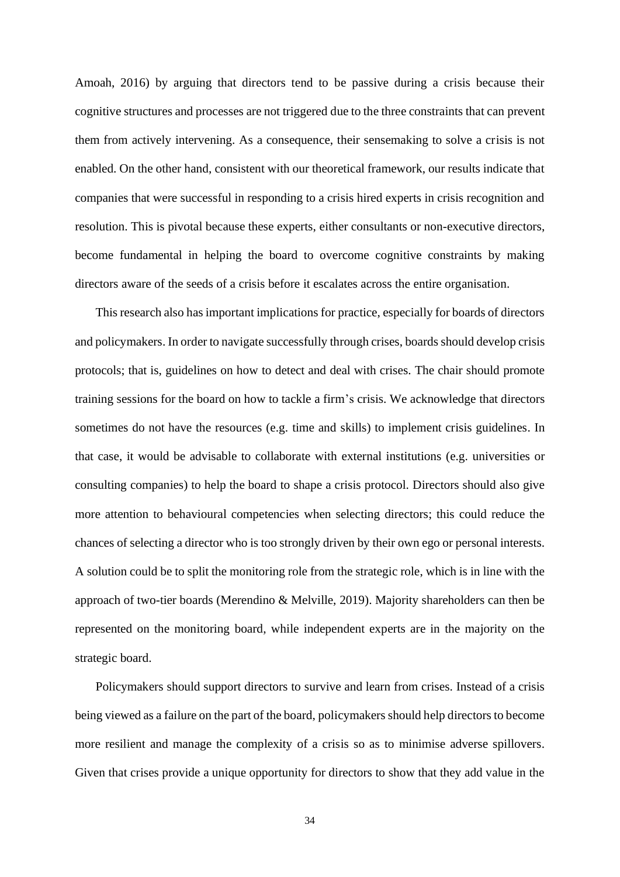Amoah, 2016) by arguing that directors tend to be passive during a crisis because their cognitive structures and processes are not triggered due to the three constraints that can prevent them from actively intervening. As a consequence, their sensemaking to solve a crisis is not enabled. On the other hand, consistent with our theoretical framework, our results indicate that companies that were successful in responding to a crisis hired experts in crisis recognition and resolution. This is pivotal because these experts, either consultants or non-executive directors, become fundamental in helping the board to overcome cognitive constraints by making directors aware of the seeds of a crisis before it escalates across the entire organisation.

This research also has important implications for practice, especially for boards of directors and policymakers. In order to navigate successfully through crises, boards should develop crisis protocols; that is, guidelines on how to detect and deal with crises. The chair should promote training sessions for the board on how to tackle a firm's crisis. We acknowledge that directors sometimes do not have the resources (e.g. time and skills) to implement crisis guidelines. In that case, it would be advisable to collaborate with external institutions (e.g. universities or consulting companies) to help the board to shape a crisis protocol. Directors should also give more attention to behavioural competencies when selecting directors; this could reduce the chances of selecting a director who is too strongly driven by their own ego or personal interests. A solution could be to split the monitoring role from the strategic role, which is in line with the approach of two-tier boards (Merendino & Melville, 2019). Majority shareholders can then be represented on the monitoring board, while independent experts are in the majority on the strategic board.

Policymakers should support directors to survive and learn from crises. Instead of a crisis being viewed as a failure on the part of the board, policymakers should help directors to become more resilient and manage the complexity of a crisis so as to minimise adverse spillovers. Given that crises provide a unique opportunity for directors to show that they add value in the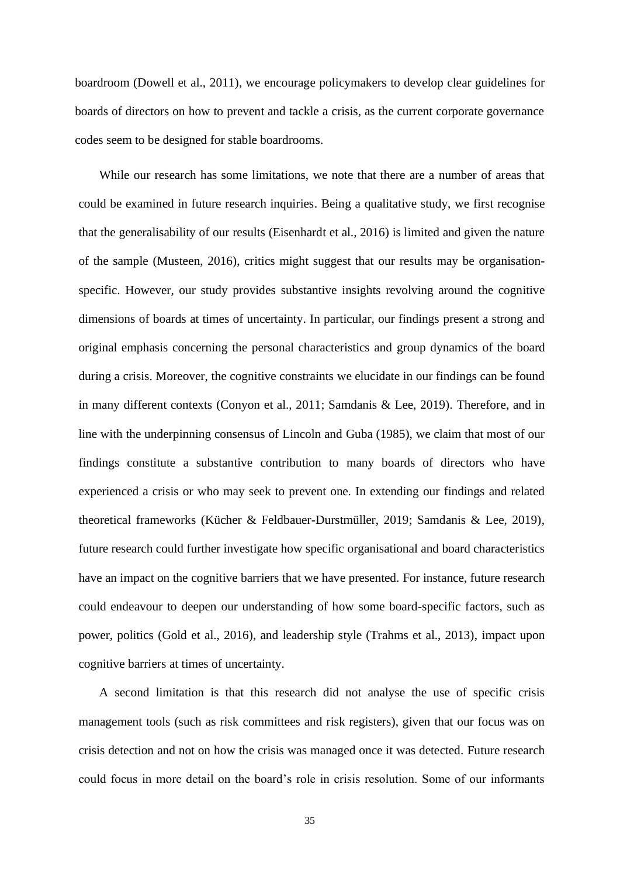boardroom (Dowell et al., 2011), we encourage policymakers to develop clear guidelines for boards of directors on how to prevent and tackle a crisis, as the current corporate governance codes seem to be designed for stable boardrooms.

While our research has some limitations, we note that there are a number of areas that could be examined in future research inquiries. Being a qualitative study, we first recognise that the generalisability of our results (Eisenhardt et al., 2016) is limited and given the nature of the sample (Musteen, 2016), critics might suggest that our results may be organisationspecific. However, our study provides substantive insights revolving around the cognitive dimensions of boards at times of uncertainty. In particular, our findings present a strong and original emphasis concerning the personal characteristics and group dynamics of the board during a crisis. Moreover, the cognitive constraints we elucidate in our findings can be found in many different contexts (Conyon et al., 2011; Samdanis & Lee, 2019). Therefore, and in line with the underpinning consensus of Lincoln and Guba (1985), we claim that most of our findings constitute a substantive contribution to many boards of directors who have experienced a crisis or who may seek to prevent one. In extending our findings and related theoretical frameworks (Kücher & Feldbauer-Durstmüller, 2019; Samdanis & Lee, 2019), future research could further investigate how specific organisational and board characteristics have an impact on the cognitive barriers that we have presented. For instance, future research could endeavour to deepen our understanding of how some board-specific factors, such as power, politics (Gold et al., 2016), and leadership style (Trahms et al., 2013), impact upon cognitive barriers at times of uncertainty.

A second limitation is that this research did not analyse the use of specific crisis management tools (such as risk committees and risk registers), given that our focus was on crisis detection and not on how the crisis was managed once it was detected. Future research could focus in more detail on the board's role in crisis resolution. Some of our informants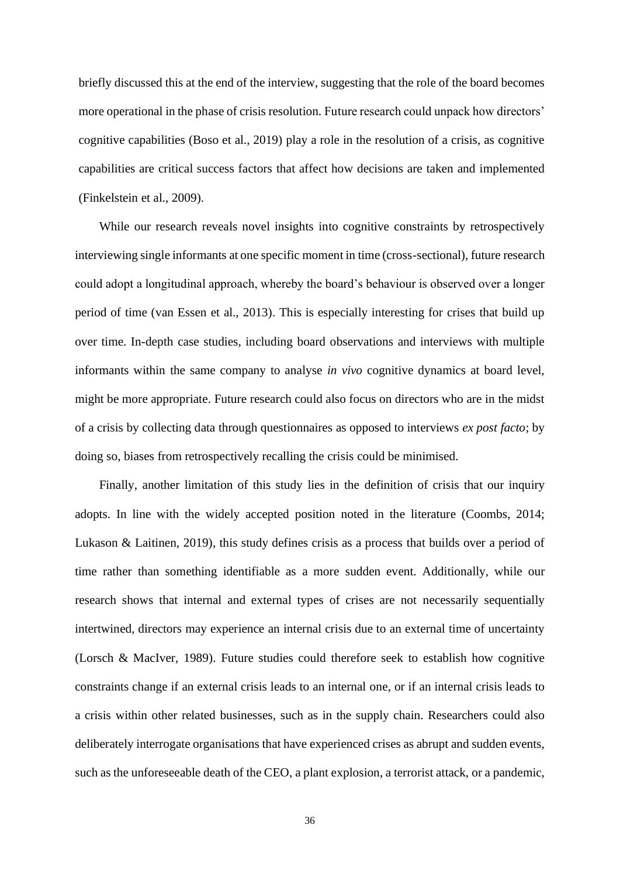briefly discussed this at the end of the interview, suggesting that the role of the board becomes more operational in the phase of crisis resolution. Future research could unpack how directors' cognitive capabilities (Boso et al., 2019) play a role in the resolution of a crisis, as cognitive capabilities are critical success factors that affect how decisions are taken and implemented (Finkelstein et al., 2009).

While our research reveals novel insights into cognitive constraints by retrospectively interviewing single informants at one specific moment in time (cross-sectional), future research could adopt a longitudinal approach, whereby the board's behaviour is observed over a longer period of time (van Essen et al., 2013). This is especially interesting for crises that build up over time. In-depth case studies, including board observations and interviews with multiple informants within the same company to analyse *in vivo* cognitive dynamics at board level, might be more appropriate. Future research could also focus on directors who are in the midst of a crisis by collecting data through questionnaires as opposed to interviews *ex post facto*; by doing so, biases from retrospectively recalling the crisis could be minimised.

Finally, another limitation of this study lies in the definition of crisis that our inquiry adopts. In line with the widely accepted position noted in the literature (Coombs, 2014; Lukason & Laitinen, 2019), this study defines crisis as a process that builds over a period of time rather than something identifiable as a more sudden event. Additionally, while our research shows that internal and external types of crises are not necessarily sequentially intertwined, directors may experience an internal crisis due to an external time of uncertainty (Lorsch & MacIver, 1989). Future studies could therefore seek to establish how cognitive constraints change if an external crisis leads to an internal one, or if an internal crisis leads to a crisis within other related businesses, such as in the supply chain. Researchers could also deliberately interrogate organisations that have experienced crises as abrupt and sudden events, such as the unforeseeable death of the CEO, a plant explosion, a terrorist attack, or a pandemic,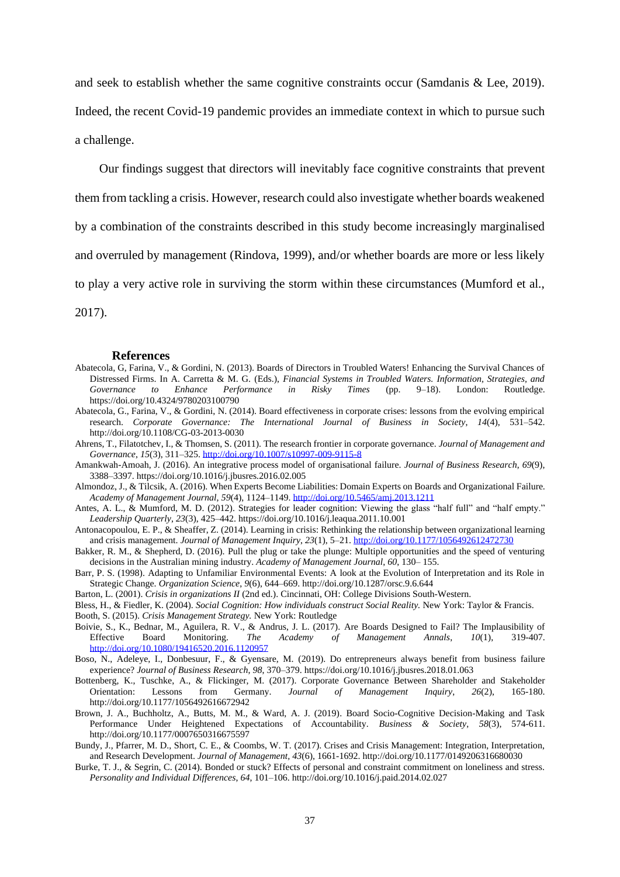and seek to establish whether the same cognitive constraints occur (Samdanis & Lee, 2019).

Indeed, the recent Covid-19 pandemic provides an immediate context in which to pursue such a challenge.

Our findings suggest that directors will inevitably face cognitive constraints that prevent

them from tackling a crisis. However, research could also investigate whether boards weakened

by a combination of the constraints described in this study become increasingly marginalised

and overruled by management (Rindova, 1999), and/or whether boards are more or less likely

to play a very active role in surviving the storm within these circumstances (Mumford et al.,

2017).

#### **References**

- Abatecola, G, Farina, V., & Gordini, N. (2013). Boards of Directors in Troubled Waters! Enhancing the Survival Chances of Distressed Firms. In A. Carretta & M. G. (Eds.), *Financial Systems in Troubled Waters. Information, Strategies, and Governance to Enhance Performance in Risky Times* (pp. 9–18). London: Routledge. https://doi.org/10.4324/9780203100790
- Abatecola, G., Farina, V., & Gordini, N. (2014). Board effectiveness in corporate crises: lessons from the evolving empirical research. *Corporate Governance: The International Journal of Business in Society*, *14*(4), 531–542. http://doi.org/10.1108/CG-03-2013-0030

Ahrens, T., Filatotchev, I., & Thomsen, S. (2011). The research frontier in corporate governance. *Journal of Management and Governance*, *15*(3), 311–325[. http://doi.org/10.1007/s10997-009-9115-8](http://doi.org/10.1007/s10997-009-9115-8)

- Amankwah-Amoah, J. (2016). An integrative process model of organisational failure. *Journal of Business Research*, *69*(9), 3388–3397. https://doi.org/10.1016/j.jbusres.2016.02.005
- Almondoz, J., & Tilcsik, A. (2016). When Experts Become Liabilities: Domain Experts on Boards and Organizational Failure. *Academy of Management Journal*, *59*(4), 1124–1149[. http://doi.org/10.5465/amj.2013.1211](http://doi.org/10.5465/amj.2013.1211)
- Antes, A. L., & Mumford, M. D. (2012). Strategies for leader cognition: Viewing the glass "half full" and "half empty." *Leadership Quarterly*, *23*(3), 425–442. https://doi.org/10.1016/j.leaqua.2011.10.001
- Antonacopoulou, E. P., & Sheaffer, Z. (2014). Learning in crisis: Rethinking the relationship between organizational learning and crisis management. *Journal of Management Inquiry*, *23*(1), 5–21[. http://doi.org/10.1177/1056492612472730](http://doi.org/10.1177/1056492612472730)
- Bakker, R. M., & Shepherd, D. (2016). Pull the plug or take the plunge: Multiple opportunities and the speed of venturing decisions in the Australian mining industry. *Academy of Management Journal*, *60*, 130– 155.
- Barr, P. S. (1998). Adapting to Unfamiliar Environmental Events: A look at the Evolution of Interpretation and its Role in Strategic Change. *Organization Science*, *9*(6), 644–669. http://doi.org/10.1287/orsc.9.6.644
- Barton, L. (2001). *Crisis in organizations II* (2nd ed.). Cincinnati, OH: College Divisions South-Western.
- Bless, H., & Fiedler, K. (2004). *Social Cognition: How individuals construct Social Reality.* New York: Taylor & Francis.
- Booth, S. (2015). *Crisis Management Strategy.* New York: Routledge
- Boivie, S., K., Bednar, M., Aguilera, R. V., & Andrus, J. L. (2017). Are Boards Designed to Fail? The Implausibility of Effective Board Monitoring. *The Academy of Management Annals*, *10*(1), 319-407. <http://doi.org/10.1080/19416520.2016.1120957>
- Boso, N., Adeleye, I., Donbesuur, F., & Gyensare, M. (2019). Do entrepreneurs always benefit from business failure experience? *Journal of Business Research*, *98*, 370–379. https://doi.org/10.1016/j.jbusres.2018.01.063
- Bottenberg, K., Tuschke, A., & Flickinger, M. (2017). Corporate Governance Between Shareholder and Stakeholder Orientation: Lessons from Germany. *Journal of Management Inquiry*, *26*(2), 165-180. http://doi.org/10.1177/1056492616672942
- Brown, J. A., Buchholtz, A., Butts, M. M., & Ward, A. J. (2019). Board Socio-Cognitive Decision-Making and Task Performance Under Heightened Expectations of Accountability. *Business & Society*, *58*(3), 574-611. http://doi.org/10.1177/0007650316675597
- Bundy, J., Pfarrer, M. D., Short, C. E., & Coombs, W. T. (2017). Crises and Crisis Management: Integration, Interpretation, and Research Development. *Journal of Management, 43*(6), 1661-1692. http://doi.org/10.1177/0149206316680030
- Burke, T. J., & Segrin, C. (2014). Bonded or stuck? Effects of personal and constraint commitment on loneliness and stress. *Personality and Individual Differences*, *64*, 101–106. http://doi.org/10.1016/j.paid.2014.02.027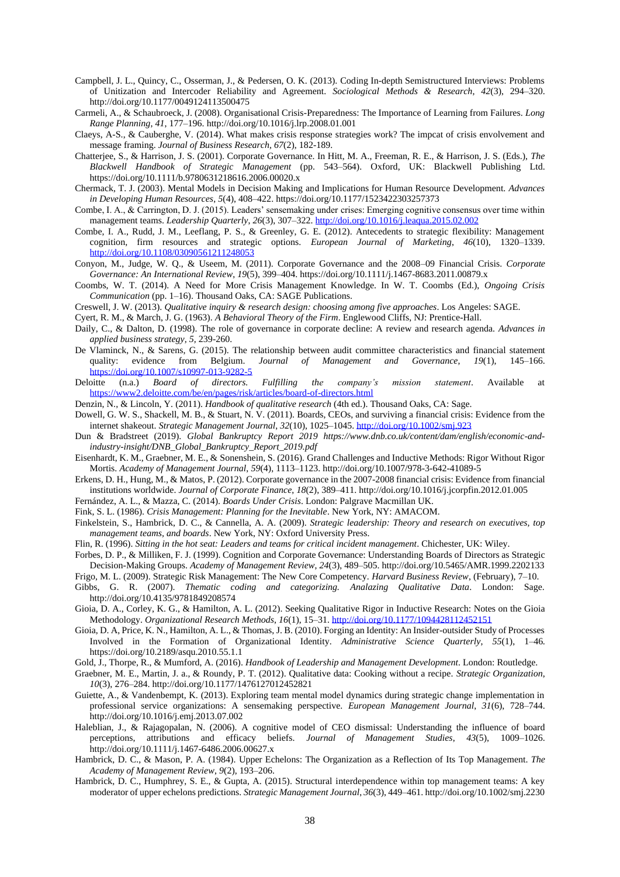- Campbell, J. L., Quincy, C., Osserman, J., & Pedersen, O. K. (2013). Coding In-depth Semistructured Interviews: Problems of Unitization and Intercoder Reliability and Agreement. *Sociological Methods & Research*, *42*(3), 294–320. http://doi.org/10.1177/0049124113500475
- Carmeli, A., & Schaubroeck, J. (2008). Organisational Crisis-Preparedness: The Importance of Learning from Failures. *Long Range Planning*, *41*, 177–196. http://doi.org/10.1016/j.lrp.2008.01.001
- Claeys, A-S., & Cauberghe, V. (2014). What makes crisis response strategies work? The impcat of crisis envolvement and message framing. *Journal of Business Research, 67*(2), 182-189.
- Chatterjee, S., & Harrison, J. S. (2001). Corporate Governance. In Hitt, M. A., Freeman, R. E., & Harrison, J. S. (Eds.), *The Blackwell Handbook of Strategic Management* (pp. 543–564). Oxford, UK: Blackwell Publishing Ltd. https://doi.org/10.1111/b.9780631218616.2006.00020.x
- Chermack, T. J. (2003). Mental Models in Decision Making and Implications for Human Resource Development. *Advances in Developing Human Resources*, *5*(4), 408–422. https://doi.org/10.1177/1523422303257373
- Combe, I. A., & Carrington, D. J. (2015). Leaders' sensemaking under crises: Emerging cognitive consensus over time within management teams. *Leadership Quarterly*, *26*(3), 307–322[. http://doi.org/10.1016/j.leaqua.2015.02.002](http://doi.org/10.1016/j.leaqua.2015.02.002)
- Combe, I. A., Rudd, J. M., Leeflang, P. S., & Greenley, G. E. (2012). Antecedents to strategic flexibility: Management cognition, firm resources and strategic options. *European Journal of Marketing*, *46*(10), 1320–1339. <http://doi.org/10.1108/03090561211248053>
- Conyon, M., Judge, W. Q., & Useem, M. (2011). Corporate Governance and the 2008–09 Financial Crisis. *Corporate Governance: An International Review*, *19*(5), 399–404. https://doi.org/10.1111/j.1467-8683.2011.00879.x
- Coombs, W. T. (2014). A Need for More Crisis Management Knowledge. In W. T. Coombs (Ed.), *Ongoing Crisis Communication* (pp. 1–16). Thousand Oaks, CA: SAGE Publications.
- Creswell, J. W. (2013). *Qualitative inquiry & research design: choosing among five approaches*. Los Angeles: SAGE.
- Cyert, R. M., & March, J. G. (1963). *A Behavioral Theory of the Firm*. Englewood Cliffs, NJ: Prentice-Hall.
- Daily, C., & Dalton, D. (1998). The role of governance in corporate decline: A review and research agenda. *Advances in applied business strategy, 5,* 239-260.
- De Vlaminck, N., & Sarens, G. (2015). The relationship between audit committee characteristics and financial statement quality: evidence from Belgium. *Journal of Management and Governance*, *19*(1), 145–166. <https://doi.org/10.1007/s10997-013-9282-5>
- Deloitte (n.a.) *Board of directors. Fulfilling the company's mission statement*. Available at <https://www2.deloitte.com/be/en/pages/risk/articles/board-of-directors.html>
- Denzin, N., & Lincoln, Y. (2011). *Handbook of qualitative research* (4th ed.). Thousand Oaks, CA: Sage.
- Dowell, G. W. S., Shackell, M. B., & Stuart, N. V. (2011). Boards, CEOs, and surviving a financial crisis: Evidence from the internet shakeout. *Strategic Management Journal*, *32*(10), 1025–1045[. http://doi.org/10.1002/smj.923](http://doi.org/10.1002/smj.923)
- Dun & Bradstreet (2019). *Global Bankruptcy Report 2019 https://www.dnb.co.uk/content/dam/english/economic-andindustry-insight/DNB\_Global\_Bankruptcy\_Report\_2019.pdf*
- Eisenhardt, K. M., Graebner, M. E., & Sonenshein, S. (2016). Grand Challenges and Inductive Methods: Rigor Without Rigor Mortis. *Academy of Management Journal*, *59*(4), 1113–1123. http://doi.org/10.1007/978-3-642-41089-5
- Erkens, D. H., Hung, M., & Matos, P. (2012). Corporate governance in the 2007-2008 financial crisis: Evidence from financial institutions worldwide. *Journal of Corporate Finance*, *18*(2), 389–411. http://doi.org/10.1016/j.jcorpfin.2012.01.005
- Fernández, A. L., & Mazza, C. (2014). *Boards Under Crisis*. London: Palgrave Macmillan UK.
- Fink, S. L. (1986). *Crisis Management: Planning for the Inevitable*. New York, NY: AMACOM.
- Finkelstein, S., Hambrick, D. C., & Cannella, A. A. (2009). *Strategic leadership: Theory and research on executives, top management teams, and boards*. New York, NY: Oxford University Press.
- Flin, R. (1996). *Sitting in the hot seat: Leaders and teams for critical incident management*. Chichester, UK: Wiley.
- Forbes, D. P., & Milliken, F. J. (1999). Cognition and Corporate Governance: Understanding Boards of Directors as Strategic Decision-Making Groups. *Academy of Management Review*, *24*(3), 489–505. http://doi.org/10.5465/AMR.1999.2202133
- Frigo, M. L. (2009). Strategic Risk Management: The New Core Competency. *Harvard Business Review*, (February), 7–10. Gibbs, G. R. (2007). *Thematic coding and categorizing. Analazing Qualitative Data*. London: Sage.
- http://doi.org/10.4135/9781849208574
- Gioia, D. A., Corley, K. G., & Hamilton, A. L. (2012). Seeking Qualitative Rigor in Inductive Research: Notes on the Gioia Methodology. *Organizational Research Methods*, *16*(1), 15–31[. http://doi.org/10.1177/1094428112452151](http://doi.org/10.1177/1094428112452151)
- Gioia, D. A, Price, K. N., Hamilton, A. L., & Thomas, J. B. (2010). Forging an Identity: An Insider-outsider Study of Processes Involved in the Formation of Organizational Identity. *Administrative Science Quarterly*, *55*(1), 1–46. https://doi.org/10.2189/asqu.2010.55.1.1
- Gold, J., Thorpe, R., & Mumford, A. (2016). *Handbook of Leadership and Management Development*. London: Routledge.
- Graebner, M. E., Martin, J. a., & Roundy, P. T. (2012). Qualitative data: Cooking without a recipe. *Strategic Organization*, *10*(3), 276–284. http://doi.org/10.1177/1476127012452821
- Guiette, A., & Vandenbempt, K. (2013). Exploring team mental model dynamics during strategic change implementation in professional service organizations: A sensemaking perspective. *European Management Journal*, *31*(6), 728–744. http://doi.org/10.1016/j.emj.2013.07.002
- Haleblian, J., & Rajagopalan, N. (2006). A cognitive model of CEO dismissal: Understanding the influence of board perceptions, attributions and efficacy beliefs. *Journal of Management Studies*, *43*(5), 1009–1026. http://doi.org/10.1111/j.1467-6486.2006.00627.x
- Hambrick, D. C., & Mason, P. A. (1984). Upper Echelons: The Organization as a Reflection of Its Top Management. *The Academy of Management Review*, *9*(2), 193–206.
- Hambrick, D. C., Humphrey, S. E., & Gupta, A. (2015). Structural interdependence within top management teams: A key moderator of upper echelons predictions. *Strategic Management Journal*, *36*(3), 449–461. http://doi.org/10.1002/smj.2230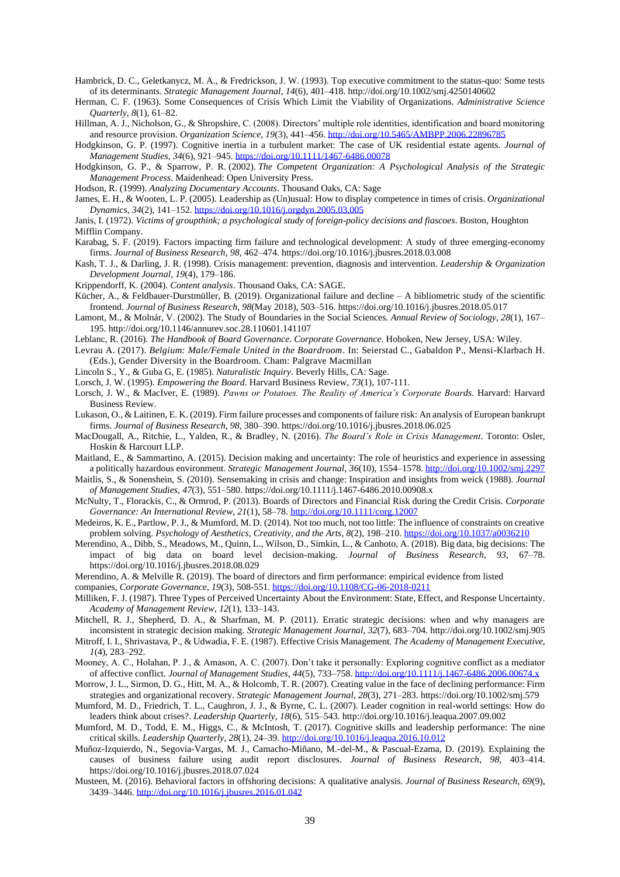Hambrick, D. C., Geletkanycz, M. A., & Fredrickson, J. W. (1993). Top executive commitment to the status-quo: Some tests of its determinants. *Strategic Management Journal*, *14*(6), 401–418. http://doi.org/10.1002/smj.4250140602

Herman, C. F. (1963). Some Consequences of Crisis Which Limit the Viability of Organizations. *Administrative Science Quarterly*, *8*(1), 61–82.

Hillman, A. J., Nicholson, G., & Shropshire, C. (2008). Directors' multiple role identities, identification and board monitoring and resource provision. *Organization Science*, *19*(3), 441–456.<http://doi.org/10.5465/AMBPP.2006.22896785>

Hodgkinson, G. P. (1997). Cognitive inertia in a turbulent market: The case of UK residential estate agents. *Journal of Management Studies*, *34*(6), 921–945.<https://doi.org/10.1111/1467-6486.00078>

Hodgkinson, G. P[., & Sparrow, P. R.](http://www.research.lancs.ac.uk/portal/en/people/paul-sparrow(73bad3d7-5de6-4eb4-915c-2e5d58f4a5b7).html) (2002). *[The Competent Organization: A Psychological Analysis of the Strategic](http://www.research.lancs.ac.uk/portal/en/publications/the-competent-organization-a-psychological-analysis-of-the-strategic-management-process(db2d57bb-da25-4645-b789-6cf7200fecec).html)  [Management Process](http://www.research.lancs.ac.uk/portal/en/publications/the-competent-organization-a-psychological-analysis-of-the-strategic-management-process(db2d57bb-da25-4645-b789-6cf7200fecec).html)*. Maidenhead: Open University Press.

Hodson, R. (1999). *Analyzing Documentary Accounts*. Thousand Oaks, CA: Sage

James, E. H., & Wooten, L. P. (2005). Leadership as (Un)usual: How to display competence in times of crisis. *Organizational Dynamics*, *34*(2), 141–152[. https://doi.org/10.1016/j.orgdyn.2005.03.005](https://doi.org/10.1016/j.orgdyn.2005.03.005)

Janis, I. (1972). *Victims of groupthink; a psychological study of foreign-policy decisions and fiascoes*. Boston, Houghton Mifflin Company.

Karabag, S. F. (2019). Factors impacting firm failure and technological development: A study of three emerging-economy firms. *Journal of Business Research*, *98*, 462–474. https://doi.org/10.1016/j.jbusres.2018.03.008

Kash, T. J., & Darling, J. R. (1998). Crisis management: prevention, diagnosis and intervention. *Leadership & Organization Development Journal*, *19*(4), 179–186.

Krippendorff, K. (2004). *Content analysis*. Thousand Oaks, CA: SAGE.

- Kücher, A., & Feldbauer-Durstmüller, B. (2019). Organizational failure and decline  $-$  A bibliometric study of the scientific frontend. *Journal of Business Research*, *98*(May 2018), 503–516. https://doi.org/10.1016/j.jbusres.2018.05.017
- Lamont, M., & Molnár, V. (2002). The Study of Boundaries in the Social Sciences. *Annual Review of Sociology*, *28*(1), 167– 195. http://doi.org/10.1146/annurev.soc.28.110601.141107
- Leblanc, R. (2016). *The Handbook of Board Governance*. *Corporate Governance*. Hoboken, New Jersey, USA: Wiley.
- Levrau A. (2017). *Belgium: Male/Female United in the Boardroom*. In: Seierstad C., Gabaldon P., Mensi-Klarbach H. (Eds.), Gender Diversity in the Boardroom. Cham: Palgrave Macmillan
- Lincoln S., Y., & Guba G, E. (1985). *Naturalistic Inquiry*. Beverly Hills, CA: Sage.
- Lorsch, J. W. (1995). *Empowering the Board*. Harvard Business Review, *73*(1), 107-111.
- Lorsch, J. W., & MacIver, E. (1989). *Pawns or Potatoes. The Reality of America's Corporate Boards*. Harvard: Harvard Business Review.
- Lukason, O., & Laitinen, E. K. (2019). Firm failure processes and components of failure risk: An analysis of European bankrupt firms. *Journal of Business Research*, *98*, 380–390. https://doi.org/10.1016/j.jbusres.2018.06.025
- MacDougall, A., Ritchie, L., Yalden, R., & Bradley, N. (2016). *The Board's Role in Crisis Management*. Toronto: Osler, Hoskin & Harcourt LLP.
- Maitland, E., & Sammartino, A. (2015). Decision making and uncertainty: The role of heuristics and experience in assessing a politically hazardous environment. *Strategic Management Journal*, *36*(10), 1554–1578[. http://doi.org/10.1002/smj.2297](http://doi.org/10.1002/smj.2297)
- Maitlis, S., & Sonenshein, S. (2010). Sensemaking in crisis and change: Inspiration and insights from weick (1988). *Journal of Management Studies*, *47*(3), 551–580. https://doi.org/10.1111/j.1467-6486.2010.00908.x
- McNulty, T., Florackis, C., & Ormrod, P. (2013). Boards of Directors and Financial Risk during the Credit Crisis. *Corporate Governance: An International Review*, *21*(1), 58–78.<http://doi.org/10.1111/corg.12007>
- Medeiros, K. E., Partlow, P. J., & Mumford, M. D. (2014). Not too much, not too little: The influence of constraints on creative problem solving. *Psychology of Aesthetics, Creativity, and the Arts*, *8*(2), 198–210.<https://doi.org/10.1037/a0036210>
- Merendino, A., Dibb, S., Meadows, M., Quinn, L., Wilson, D., Simkin, L., & Canhoto, A. (2018). Big data, big decisions: The impact of big data on board level decision-making. *Journal of Business Research*, *93*, 67–78. https://doi.org/10.1016/j.jbusres.2018.08.029
- Merendino, A. & Melville R. (2019). The board of directors and firm performance: empirical evidence from listed
- companies, *Corporate Governance*, *19*(3), 508-551[. https://doi.org/10.1108/CG-06-2018-0211](https://doi.org/10.1108/CG-06-2018-0211)

Milliken, F. J. (1987). Three Types of Perceived Uncertainty About the Environment: State, Effect, and Response Uncertainty. *Academy of Management Review*, *12*(1), 133–143.

Mitchell, R. J., Shepherd, D. A., & Sharfman, M. P. (2011). Erratic strategic decisions: when and why managers are inconsistent in strategic decision making. *Strategic Management Journal*, *32*(7), 683–704. http://doi.org/10.1002/smj.905

Mitroff, I. I., Shrivastava, P., & Udwadia, F. E. (1987). Effective Crisis Management. *The Academy of Management Executive*, *1*(4), 283–292.

Mooney, A. C., Holahan, P. J., & Amason, A. C. (2007). Don't take it personally: Exploring cognitive conflict as a mediator of affective conflict. *Journal of Management Studies*, *44*(5), 733–758.<http://doi.org/10.1111/j.1467-6486.2006.00674.x>

- Morrow, J. L., Sirmon, D. G., Hitt, M. A., & Holcomb, T. R. (2007). Creating value in the face of declining performance: Firm strategies and organizational recovery. *Strategic Management Journal*, *28*(3), 271–283. https://doi.org/10.1002/smj.579
- Mumford, M. D., Friedrich, T. L., Caughron, J. J., & Byrne, C. L. (2007). Leader cognition in real-world settings: How do leaders think about crises?. *Leadership Quarterly*, *18*(6), 515–543. http://doi.org/10.1016/j.leaqua.2007.09.002
- Mumford, M. D., Todd, E. M., Higgs, C., & McIntosh, T. (2017). Cognitive skills and leadership performance: The nine critical skills. *Leadership Quarterly*, *28*(1), 24–39[. http://doi.org/10.1016/j.leaqua.2016.10.012](http://doi.org/10.1016/j.leaqua.2016.10.012)
- Muñoz-Izquierdo, N., Segovia-Vargas, M. J., Camacho-Miñano, M.-del-M., & Pascual-Ezama, D. (2019). Explaining the causes of business failure using audit report disclosures. *Journal of Business Research*, *98*, 403–414. https://doi.org/10.1016/j.jbusres.2018.07.024
- Musteen, M. (2016). Behavioral factors in offshoring decisions: A qualitative analysis. *Journal of Business Research*, *69*(9), 3439–3446[. http://doi.org/10.1016/j.jbusres.2016.01.042](http://doi.org/10.1016/j.jbusres.2016.01.042)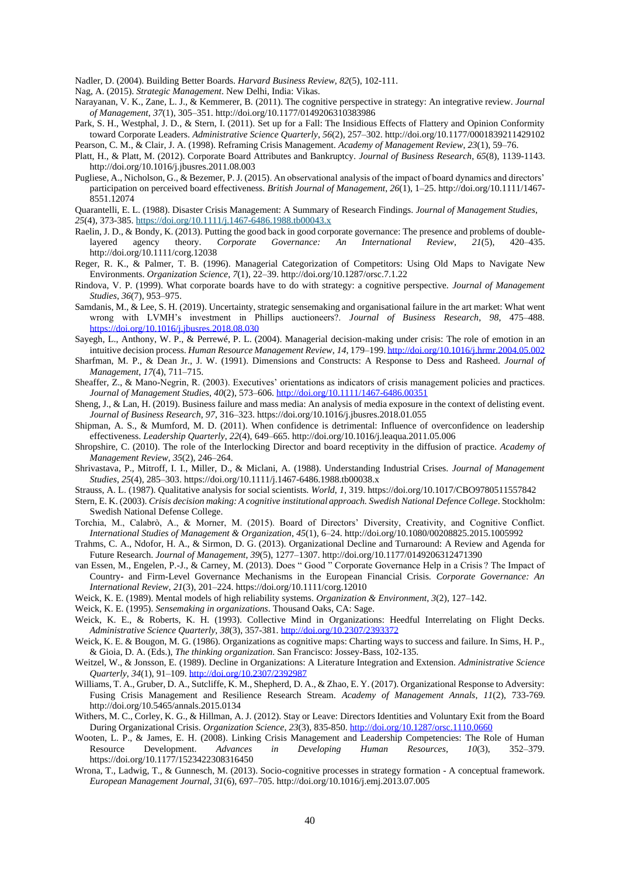Nadler, D. (2004). Building Better Boards. *Harvard Business Review*, *82*(5), 102-111.

Nag, A. (2015). *Strategic Management*. New Delhi, India: Vikas.

- Narayanan, V. K., Zane, L. J., & Kemmerer, B. (2011). The cognitive perspective in strategy: An integrative review. *Journal of Management*, *37*(1), 305–351. http://doi.org/10.1177/0149206310383986
- Park, S. H., Westphal, J. D., & Stern, I. (2011). Set up for a Fall: The Insidious Effects of Flattery and Opinion Conformity toward Corporate Leaders. *Administrative Science Quarterly*, *56*(2), 257–302. http://doi.org/10.1177/0001839211429102
- Pearson, C. M., & Clair, J. A. (1998). Reframing Crisis Management. *Academy of Management Review*, *23*(1), 59–76.
- Platt, H., & Platt, M. (2012). Corporate Board Attributes and Bankruptcy. *Journal of Business Research*, *65*(8), 1139-1143. http://doi.org/10.1016/j.jbusres.2011.08.003
- Pugliese, A., Nicholson, G., & Bezemer, P. J. (2015). An observational analysis of the impact of board dynamics and directors' participation on perceived board effectiveness. *British Journal of Management*, *26*(1), 1–25. http://doi.org/10.1111/1467- 8551.12074
- Quarantelli, E. L. (1988). Disaster Crisis Management: A Summary of Research Findings. *Journal of Management Studies*, *25*(4), 373-385. <https://doi.org/10.1111/j.1467-6486.1988.tb00043.x>
- Raelin, J. D., & Bondy, K. (2013). Putting the good back in good corporate governance: The presence and problems of doublelayered agency theory. *Corporate Governance: An International Review*, *21*(5), 420–435. http://doi.org/10.1111/corg.12038
- Reger, R. K., & Palmer, T. B. (1996). Managerial Categorization of Competitors: Using Old Maps to Navigate New Environments. *Organization Science*, *7*(1), 22–39. http://doi.org/10.1287/orsc.7.1.22
- Rindova, V. P. (1999). What corporate boards have to do with strategy: a cognitive perspective. *Journal of Management Studies*, *36*(7), 953–975.
- Samdanis, M., & Lee, S. H. (2019). Uncertainty, strategic sensemaking and organisational failure in the art market: What went wrong with LVMH's investment in Phillips auctioneers?. *Journal of Business Research*, *98*, 475–488. <https://doi.org/10.1016/j.jbusres.2018.08.030>
- Sayegh, L., Anthony, W. P., & Perrewé, P. L. (2004). Managerial decision-making under crisis: The role of emotion in an intuitive decision process. *Human Resource Management Review*, *14*, 179–199[. http://doi.org/10.1016/j.hrmr.2004.05.002](http://doi.org/10.1016/j.hrmr.2004.05.002)
- Sharfman, M. P., & Dean Jr., J. W. (1991). Dimensions and Constructs: A Response to Dess and Rasheed. *Journal of Management*, *17*(4), 711–715.
- Sheaffer, Z., & Mano-Negrin, R. (2003). Executives' orientations as indicators of crisis management policies and practices. *Journal of Management Studies*, *40*(2), 573–606[. http://doi.org/10.1111/1467-6486.00351](http://doi.org/10.1111/1467-6486.00351)
- Sheng, J., & Lan, H. (2019). Business failure and mass media: An analysis of media exposure in the context of delisting event. *Journal of Business Research*, *97*, 316–323. https://doi.org/10.1016/j.jbusres.2018.01.055
- Shipman, A. S., & Mumford, M. D. (2011). When confidence is detrimental: Influence of overconfidence on leadership effectiveness. *Leadership Quarterly*, *22*(4), 649–665. http://doi.org/10.1016/j.leaqua.2011.05.006
- Shropshire, C. (2010). The role of the Interlocking Director and board receptivity in the diffusion of practice. *Academy of Management Review*, *35*(2), 246–264.
- Shrivastava, P., Mitroff, I. I., Miller, D., & Miclani, A. (1988). Understanding Industrial Crises. *Journal of Management Studies*, *25*(4), 285–303. https://doi.org/10.1111/j.1467-6486.1988.tb00038.x
- Strauss, A. L. (1987). Qualitative analysis for social scientists. *World*, *1*, 319. https://doi.org/10.1017/CBO9780511557842
- Stern, E. K. (2003). *Crisis decision making: A cognitive institutional approach. Swedish National Defence College*. Stockholm: Swedish National Defense College.
- Torchia, M., Calabrò, A., & Morner, M. (2015). Board of Directors' Diversity, Creativity, and Cognitive Conflict. *International Studies of Management & Organization*, *45*(1), 6–24. http://doi.org/10.1080/00208825.2015.1005992
- Trahms, C. A., Ndofor, H. A., & Sirmon, D. G. (2013). Organizational Decline and Turnaround: A Review and Agenda for Future Research. *Journal of Management*, *39*(5), 1277–1307. http://doi.org/10.1177/0149206312471390
- van Essen, M., Engelen, P.-J., & Carney, M. (2013). Does " Good " Corporate Governance Help in a Crisis ? The Impact of Country- and Firm-Level Governance Mechanisms in the European Financial Crisis. *Corporate Governance: An International Review*, *21*(3), 201–224. https://doi.org/10.1111/corg.12010
- Weick, K. E. (1989). Mental models of high reliability systems. *Organization & Environment*, *3*(2), 127–142.
- Weick, K. E. (1995). *Sensemaking in organizations*. Thousand Oaks, CA: Sage.
- Weick, K. E., & Roberts, K. H. (1993). Collective Mind in Organizations: Heedful Interrelating on Flight Decks. *Administrative Science Quarterly*, *38*(3), 357-381[. http://doi.org/10.2307/2393372](http://doi.org/10.2307/2393372)
- Weick, K. E. & Bougon, M. G. (1986). Organizations as cognitive maps: Charting ways to success and failure. In Sims, H. P., & Gioia, D. A. (Eds.), *The thinking organization*. San Francisco: Jossey-Bass, 102-135.
- Weitzel, W., & Jonsson, E. (1989). Decline in Organizations: A Literature Integration and Extension. *Administrative Science Quarterly*, *34*(1), 91–109[. http://doi.org/10.2307/2392987](http://doi.org/10.2307/2392987)
- Williams, T. A., Gruber, D. A., Sutcliffe, K. M., Shepherd, D. A., & Zhao, E. Y. (2017). Organizational Response to Adversity: Fusing Crisis Management and Resilience Research Stream. *Academy of Management Annals*, *11*(2), 733-769. http://doi.org/10.5465/annals.2015.0134
- Withers, M. C., Corley, K. G., & Hillman, A. J. (2012). Stay or Leave: Directors Identities and Voluntary Exit from the Board During Organizational Crisis. *Organization Science*, *23*(3), 835-850.<http://doi.org/10.1287/orsc.1110.0660>
- Wooten, L. P., & James, E. H. (2008). Linking Crisis Management and Leadership Competencies: The Role of Human Resource Development. *Advances in Developing Human Resources*, *10*(3), 352–379. https://doi.org/10.1177/1523422308316450
- Wrona, T., Ladwig, T., & Gunnesch, M. (2013). Socio-cognitive processes in strategy formation A conceptual framework. *European Management Journal*, *31*(6), 697–705. http://doi.org/10.1016/j.emj.2013.07.005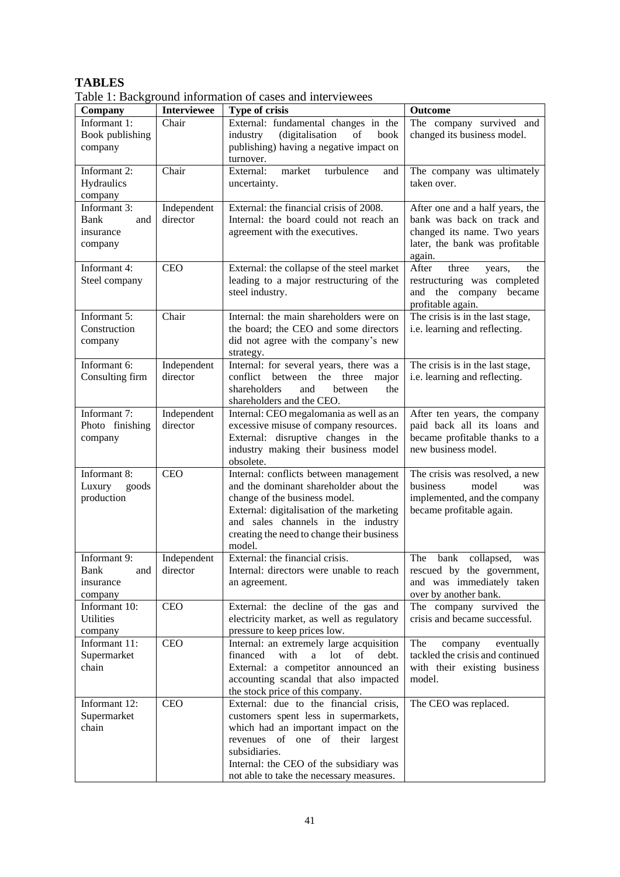# **TABLES**

| Company                                             | <b>Interviewee</b>      | <b>Type of crisis</b>                                                                                                                                                                                                                                        | <b>Outcome</b>                                                                                                                           |
|-----------------------------------------------------|-------------------------|--------------------------------------------------------------------------------------------------------------------------------------------------------------------------------------------------------------------------------------------------------------|------------------------------------------------------------------------------------------------------------------------------------------|
| Informant 1:<br>Book publishing<br>company          | Chair                   | External: fundamental changes in the<br>industry<br>(digitalisation<br>of<br>book<br>publishing) having a negative impact on<br>turnover.                                                                                                                    | The company survived and<br>changed its business model.                                                                                  |
| Informant 2:<br>Hydraulics<br>company               | Chair                   | External:<br>market<br>turbulence<br>and<br>uncertainty.                                                                                                                                                                                                     | The company was ultimately<br>taken over.                                                                                                |
| Informant 3:<br>Bank<br>and<br>insurance<br>company | Independent<br>director | External: the financial crisis of 2008.<br>Internal: the board could not reach an<br>agreement with the executives.                                                                                                                                          | After one and a half years, the<br>bank was back on track and<br>changed its name. Two years<br>later, the bank was profitable<br>again. |
| Informant 4:<br>Steel company                       | <b>CEO</b>              | External: the collapse of the steel market<br>leading to a major restructuring of the<br>steel industry.                                                                                                                                                     | After<br>three<br>the<br>years,<br>restructuring was completed<br>the company became<br>and<br>profitable again.                         |
| Informant 5:<br>Construction<br>company             | Chair                   | Internal: the main shareholders were on<br>the board; the CEO and some directors<br>did not agree with the company's new<br>strategy.                                                                                                                        | The crisis is in the last stage,<br>i.e. learning and reflecting.                                                                        |
| Informant 6:<br>Consulting firm                     | Independent<br>director | Internal: for several years, there was a<br>conflict<br>between<br>the<br>three<br>major<br>shareholders<br>and<br>between<br>the<br>shareholders and the CEO.                                                                                               | The crisis is in the last stage,<br>i.e. learning and reflecting.                                                                        |
| Informant 7:<br>Photo finishing<br>company          | Independent<br>director | Internal: CEO megalomania as well as an<br>excessive misuse of company resources.<br>External: disruptive changes in the<br>industry making their business model<br>obsolete.                                                                                | After ten years, the company<br>paid back all its loans and<br>became profitable thanks to a<br>new business model.                      |
| Informant 8:<br>Luxury<br>goods<br>production       | <b>CEO</b>              | Internal: conflicts between management<br>and the dominant shareholder about the<br>change of the business model.<br>External: digitalisation of the marketing<br>and sales channels in the industry<br>creating the need to change their business<br>model. | The crisis was resolved, a new<br>model<br>business<br>was<br>implemented, and the company<br>became profitable again.                   |
| Informant 9:<br>Bank<br>and<br>insurance<br>company | Independent<br>director | External: the financial crisis.<br>Internal: directors were unable to reach<br>an agreement.                                                                                                                                                                 | The<br>bank collapsed,<br>was<br>rescued by the government,<br>and was immediately taken<br>over by another bank.                        |
| Informant 10:<br><b>Utilities</b><br>company        | <b>CEO</b>              | External: the decline of the gas and<br>electricity market, as well as regulatory<br>pressure to keep prices low.                                                                                                                                            | The company survived the<br>crisis and became successful.                                                                                |
| Informant 11:<br>Supermarket<br>chain               | <b>CEO</b>              | Internal: an extremely large acquisition<br>financed<br>with<br>of<br>a lot<br>debt.<br>External: a competitor announced an<br>accounting scandal that also impacted<br>the stock price of this company.                                                     | The<br>eventually<br>company<br>tackled the crisis and continued<br>with their existing business<br>model.                               |
| Informant 12:<br>Supermarket<br>chain               | <b>CEO</b>              | External: due to the financial crisis,<br>customers spent less in supermarkets,<br>which had an important impact on the<br>revenues of one of their largest<br>subsidiaries.<br>Internal: the CEO of the subsidiary was                                      | The CEO was replaced.                                                                                                                    |

Table 1: Background information of cases and interviewees

not able to take the necessary measures.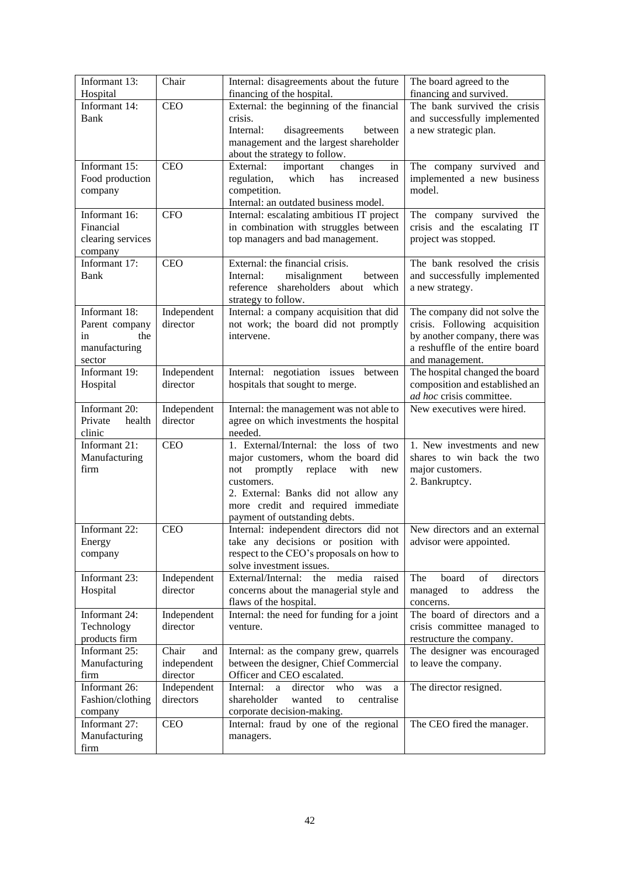| Informant 13:<br>Hospital                                               | Chair                                   | Internal: disagreements about the future<br>financing of the hospital.                                                                                                                                                                                 | The board agreed to the<br>financing and survived.                                                                                                    |
|-------------------------------------------------------------------------|-----------------------------------------|--------------------------------------------------------------------------------------------------------------------------------------------------------------------------------------------------------------------------------------------------------|-------------------------------------------------------------------------------------------------------------------------------------------------------|
| Informant 14:<br>Bank                                                   | <b>CEO</b>                              | External: the beginning of the financial<br>crisis.<br>Internal:<br>disagreements<br>between<br>management and the largest shareholder                                                                                                                 | The bank survived the crisis<br>and successfully implemented<br>a new strategic plan.                                                                 |
| Informant 15:<br>Food production<br>company                             | <b>CEO</b>                              | about the strategy to follow.<br>External:<br>important<br>changes<br>in<br>which<br>regulation,<br>has<br>increased<br>competition.<br>Internal: an outdated business model.                                                                          | The company survived and<br>implemented a new business<br>model.                                                                                      |
| Informant 16:<br>Financial<br>clearing services<br>company              | <b>CFO</b>                              | Internal: escalating ambitious IT project<br>in combination with struggles between<br>top managers and bad management.                                                                                                                                 | The company survived the<br>crisis and the escalating IT<br>project was stopped.                                                                      |
| Informant 17:<br>Bank                                                   | <b>CEO</b>                              | External: the financial crisis.<br>Internal:<br>misalignment<br>between<br>reference shareholders<br>about which<br>strategy to follow.                                                                                                                | The bank resolved the crisis<br>and successfully implemented<br>a new strategy.                                                                       |
| Informant 18:<br>Parent company<br>the<br>in<br>manufacturing<br>sector | Independent<br>director                 | Internal: a company acquisition that did<br>not work; the board did not promptly<br>intervene.                                                                                                                                                         | The company did not solve the<br>crisis. Following acquisition<br>by another company, there was<br>a reshuffle of the entire board<br>and management. |
| Informant 19:<br>Hospital                                               | Independent<br>director                 | Internal: negotiation issues between<br>hospitals that sought to merge.                                                                                                                                                                                | The hospital changed the board<br>composition and established an<br>ad hoc crisis committee.                                                          |
| Informant 20:<br>Private<br>health<br>clinic                            | Independent<br>director                 | Internal: the management was not able to<br>agree on which investments the hospital<br>needed.                                                                                                                                                         | New executives were hired.                                                                                                                            |
| Informant 21:<br>Manufacturing<br>firm                                  | <b>CEO</b>                              | 1. External/Internal: the loss of two<br>major customers, whom the board did<br>promptly<br>replace<br>with<br>not<br>new<br>customers.<br>2. External: Banks did not allow any<br>more credit and required immediate<br>payment of outstanding debts. | 1. New investments and new<br>shares to win back the two<br>major customers.<br>2. Bankruptcy.                                                        |
| Informant 22:<br>Energy<br>company                                      | <b>CEO</b>                              | Internal: independent directors did not<br>take any decisions or position with<br>respect to the CEO's proposals on how to<br>solve investment issues.                                                                                                 | New directors and an external<br>advisor were appointed.                                                                                              |
| Informant 23:<br>Hospital                                               | Independent<br>director                 | External/Internal:<br>media<br>raised<br>the<br>concerns about the managerial style and<br>flaws of the hospital.                                                                                                                                      | The<br>board<br>of<br>directors<br>address<br>managed<br>to<br>the<br>concerns.                                                                       |
| Informant 24:<br>Technology<br>products firm                            | Independent<br>director                 | Internal: the need for funding for a joint<br>venture.                                                                                                                                                                                                 | The board of directors and a<br>crisis committee managed to<br>restructure the company.                                                               |
| Informant 25:<br>Manufacturing<br>firm                                  | Chair<br>and<br>independent<br>director | Internal: as the company grew, quarrels<br>between the designer, Chief Commercial<br>Officer and CEO escalated.                                                                                                                                        | The designer was encouraged<br>to leave the company.                                                                                                  |
| Informant 26:<br>Fashion/clothing<br>company                            | Independent<br>directors                | Internal:<br>director<br>who<br>a<br>was<br>a<br>shareholder<br>centralise<br>wanted<br>to<br>corporate decision-making.                                                                                                                               | The director resigned.                                                                                                                                |
| Informant 27:<br>Manufacturing<br>firm                                  | <b>CEO</b>                              | Internal: fraud by one of the regional<br>managers.                                                                                                                                                                                                    | The CEO fired the manager.                                                                                                                            |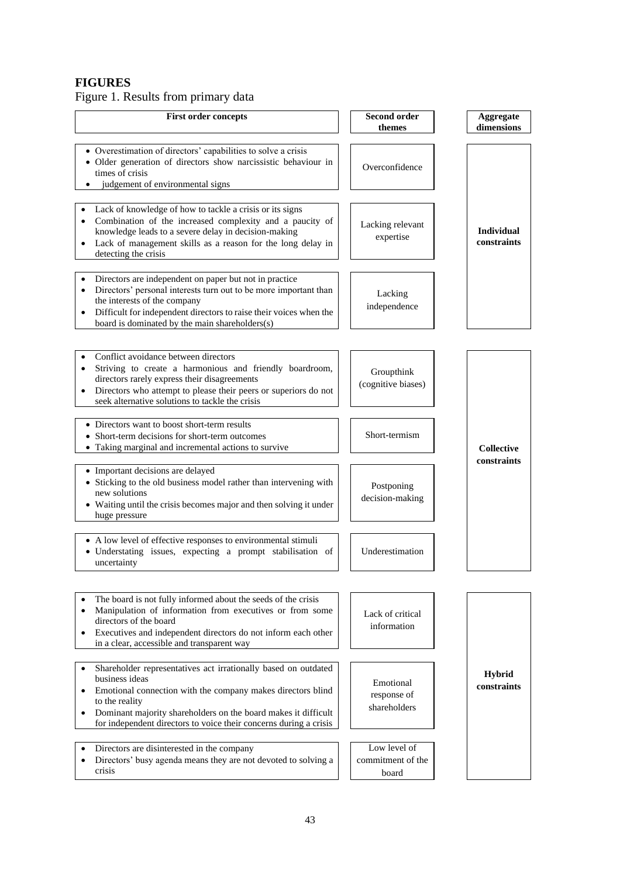# **FIGURES**

Figure 1. Results from primary data

| <b>First order concepts</b>                                                                                                                                                                                                                                                                                           | Second order<br>themes                     | Aggregate<br>dimensions          |
|-----------------------------------------------------------------------------------------------------------------------------------------------------------------------------------------------------------------------------------------------------------------------------------------------------------------------|--------------------------------------------|----------------------------------|
| • Overestimation of directors' capabilities to solve a crisis<br>· Older generation of directors show narcissistic behaviour in<br>times of crisis<br>judgement of environmental signs                                                                                                                                | Overconfidence                             |                                  |
| Lack of knowledge of how to tackle a crisis or its signs<br>Combination of the increased complexity and a paucity of<br>knowledge leads to a severe delay in decision-making<br>Lack of management skills as a reason for the long delay in<br>$\bullet$<br>detecting the crisis                                      | Lacking relevant<br>expertise              | <b>Individual</b><br>constraints |
| Directors are independent on paper but not in practice<br>Directors' personal interests turn out to be more important than<br>the interests of the company<br>Difficult for independent directors to raise their voices when the<br>$\bullet$<br>board is dominated by the main shareholders(s)                       | Lacking<br>independence                    |                                  |
|                                                                                                                                                                                                                                                                                                                       |                                            |                                  |
| Conflict avoidance between directors<br>Striving to create a harmonious and friendly boardroom,<br>$\bullet$<br>directors rarely express their disagreements<br>Directors who attempt to please their peers or superiors do not<br>$\bullet$<br>seek alternative solutions to tackle the crisis                       | Groupthink<br>(cognitive biases)           |                                  |
| • Directors want to boost short-term results<br>Short-termism<br>• Short-term decisions for short-term outcomes<br>• Taking marginal and incremental actions to survive                                                                                                                                               |                                            | <b>Collective</b>                |
| • Important decisions are delayed<br>• Sticking to the old business model rather than intervening with<br>Postponing<br>new solutions<br>decision-making<br>• Waiting until the crisis becomes major and then solving it under<br>huge pressure                                                                       |                                            | constraints                      |
| • A low level of effective responses to environmental stimuli<br>• Understating issues, expecting a prompt stabilisation of<br>uncertainty                                                                                                                                                                            | Underestimation                            |                                  |
|                                                                                                                                                                                                                                                                                                                       |                                            |                                  |
| The board is not fully informed about the seeds of the crisis<br>Manipulation of information from executives or from some<br>$\bullet$<br>directors of the board<br>Executives and independent directors do not inform each other<br>$\bullet$<br>in a clear, accessible and transparent way                          | Lack of critical<br>information            |                                  |
| Shareholder representatives act irrationally based on outdated<br>business ideas<br>Emotional connection with the company makes directors blind<br>to the reality<br>Dominant majority shareholders on the board makes it difficult<br>$\bullet$<br>for independent directors to voice their concerns during a crisis | Emotional<br>response of<br>shareholders   | <b>Hybrid</b><br>constraints     |
| Directors are disinterested in the company<br>Directors' busy agenda means they are not devoted to solving a<br>$\bullet$<br>crisis                                                                                                                                                                                   | Low level of<br>commitment of the<br>board |                                  |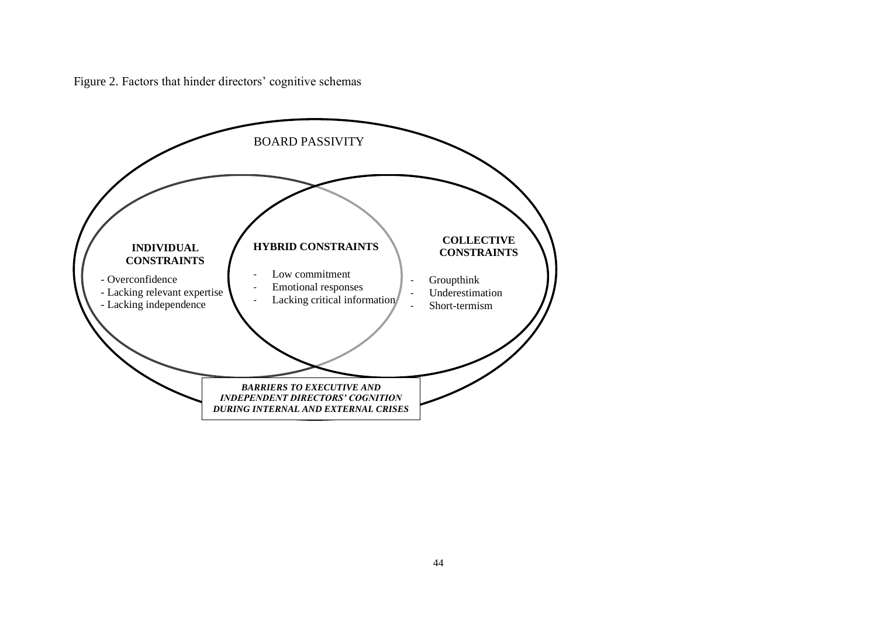Figure 2. Factors that hinder directors' cognitive schemas

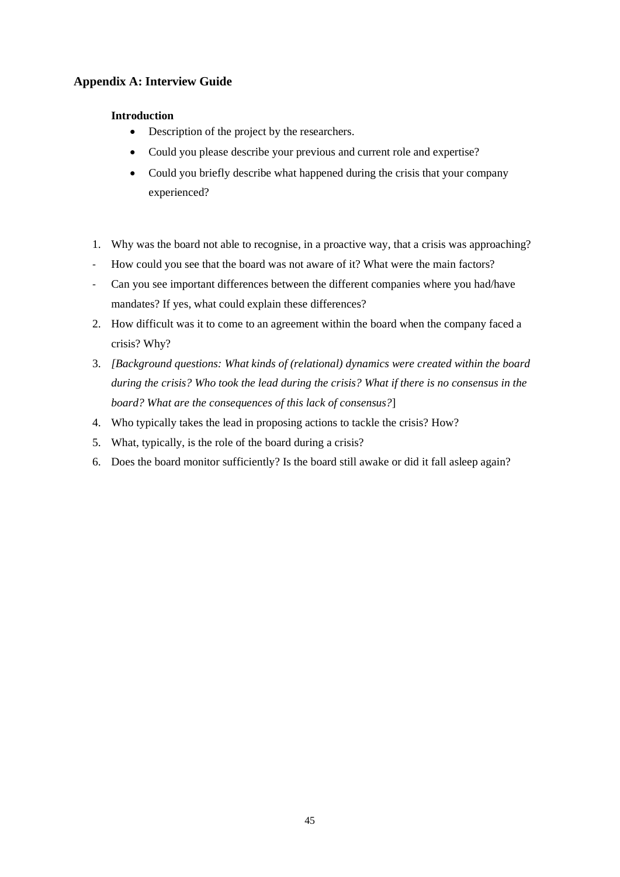## **Appendix A: Interview Guide**

## **Introduction**

- Description of the project by the researchers.
- Could you please describe your previous and current role and expertise?
- Could you briefly describe what happened during the crisis that your company experienced?
- 1. Why was the board not able to recognise, in a proactive way, that a crisis was approaching?
- How could you see that the board was not aware of it? What were the main factors?
- Can you see important differences between the different companies where you had/have mandates? If yes, what could explain these differences?
- 2. How difficult was it to come to an agreement within the board when the company faced a crisis? Why?
- 3. *[Background questions: What kinds of (relational) dynamics were created within the board during the crisis? Who took the lead during the crisis? What if there is no consensus in the board? What are the consequences of this lack of consensus?*]
- 4. Who typically takes the lead in proposing actions to tackle the crisis? How?
- 5. What, typically, is the role of the board during a crisis?
- 6. Does the board monitor sufficiently? Is the board still awake or did it fall asleep again?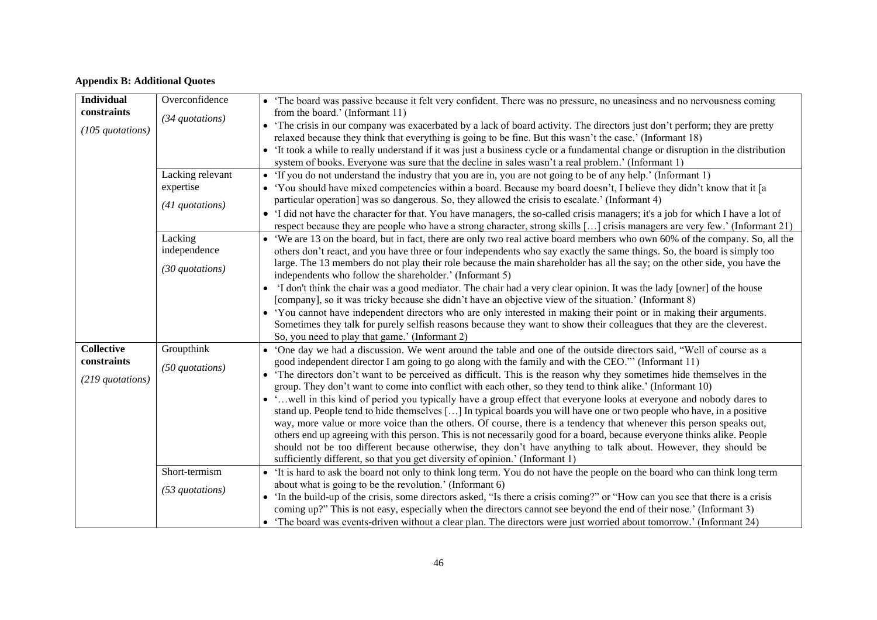## **Appendix B: Additional Quotes**

| <b>Individual</b>                                    | Overconfidence                                     | • The board was passive because it felt very confident. There was no pressure, no uneasiness and no nervousness coming                                                                                                                                                                                                                                                                                                                                                                                                                                                                                                                                                                                                                                                                                                                                                                                                                                                                                                                                                                                                                                                 |
|------------------------------------------------------|----------------------------------------------------|------------------------------------------------------------------------------------------------------------------------------------------------------------------------------------------------------------------------------------------------------------------------------------------------------------------------------------------------------------------------------------------------------------------------------------------------------------------------------------------------------------------------------------------------------------------------------------------------------------------------------------------------------------------------------------------------------------------------------------------------------------------------------------------------------------------------------------------------------------------------------------------------------------------------------------------------------------------------------------------------------------------------------------------------------------------------------------------------------------------------------------------------------------------------|
| constraints<br>(105 quotations)                      | (34 quotations)                                    | from the board.' (Informant 11)<br>• 'The crisis in our company was exacerbated by a lack of board activity. The directors just don't perform; they are pretty<br>relaxed because they think that everything is going to be fine. But this wasn't the case.' (Informant 18)<br>It took a while to really understand if it was just a business cycle or a fundamental change or disruption in the distribution<br>system of books. Everyone was sure that the decline in sales wasn't a real problem.' (Informant 1)                                                                                                                                                                                                                                                                                                                                                                                                                                                                                                                                                                                                                                                    |
|                                                      | Lacking relevant<br>expertise<br>$(41$ quotations) | 'If you do not understand the industry that you are in, you are not going to be of any help.' (Informant 1)<br>• 'You should have mixed competencies within a board. Because my board doesn't, I believe they didn't know that it [a<br>particular operation] was so dangerous. So, they allowed the crisis to escalate.' (Informant 4)<br>'I did not have the character for that. You have managers, the so-called crisis managers; it's a job for which I have a lot of<br>$\bullet$<br>respect because they are people who have a strong character, strong skills [] crisis managers are very few.' (Informant 21)                                                                                                                                                                                                                                                                                                                                                                                                                                                                                                                                                  |
|                                                      | Lacking<br>independence<br>(30 quotations)         | • 'We are 13 on the board, but in fact, there are only two real active board members who own 60% of the company. So, all the<br>others don't react, and you have three or four independents who say exactly the same things. So, the board is simply too<br>large. The 13 members do not play their role because the main shareholder has all the say; on the other side, you have the<br>independents who follow the shareholder.' (Informant 5)<br>'I don't think the chair was a good mediator. The chair had a very clear opinion. It was the lady [owner] of the house<br>[company], so it was tricky because she didn't have an objective view of the situation.' (Informant 8)<br>• 'You cannot have independent directors who are only interested in making their point or in making their arguments.<br>Sometimes they talk for purely selfish reasons because they want to show their colleagues that they are the cleverest.<br>So, you need to play that game.' (Informant 2)                                                                                                                                                                              |
| <b>Collective</b><br>constraints<br>(219 quotations) | Groupthink<br>$(50$ quotations)                    | 'One day we had a discussion. We went around the table and one of the outside directors said, "Well of course as a<br>good independent director I am going to go along with the family and with the CEO." (Informant 11)<br>• 'The directors don't want to be perceived as difficult. This is the reason why they sometimes hide themselves in the<br>group. They don't want to come into conflict with each other, so they tend to think alike.' (Informant 10)<br>• 'well in this kind of period you typically have a group effect that everyone looks at everyone and nobody dares to<br>stand up. People tend to hide themselves [] In typical boards you will have one or two people who have, in a positive<br>way, more value or more voice than the others. Of course, there is a tendency that whenever this person speaks out,<br>others end up agreeing with this person. This is not necessarily good for a board, because everyone thinks alike. People<br>should not be too different because otherwise, they don't have anything to talk about. However, they should be<br>sufficiently different, so that you get diversity of opinion.' (Informant 1) |
|                                                      | Short-termism<br>(53 quotations)                   | It is hard to ask the board not only to think long term. You do not have the people on the board who can think long term<br>about what is going to be the revolution.' (Informant 6)<br>'In the build-up of the crisis, some directors asked, "Is there a crisis coming?" or "How can you see that there is a crisis<br>coming up?" This is not easy, especially when the directors cannot see beyond the end of their nose.' (Informant 3)<br>• 'The board was events-driven without a clear plan. The directors were just worried about tomorrow.' (Informant 24)                                                                                                                                                                                                                                                                                                                                                                                                                                                                                                                                                                                                    |